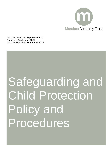

Date of last review: **September 2021** Approved: **September 2021** Date of next review: **September 2022**

# Safeguarding and Child Protection Policy and Procedures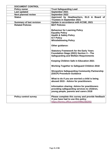| <b>DOCUMENT CONTROL</b>         |                                                                                                                                               |  |  |
|---------------------------------|-----------------------------------------------------------------------------------------------------------------------------------------------|--|--|
| <b>Policy owner</b>             | <b>Trust Safeguarding Lead</b>                                                                                                                |  |  |
| Last updated                    | September 2021                                                                                                                                |  |  |
| <b>Next planned review</b>      | September 2022                                                                                                                                |  |  |
| <b>Status</b>                   | Approved by Headteachers, ELG & Board of                                                                                                      |  |  |
|                                 | <b>Trustees in September 2021</b>                                                                                                             |  |  |
| <b>Summary of last revision</b> | Update in accordance with KCSIE, 2021                                                                                                         |  |  |
| <b>Related Policies</b>         | <b>MAT Policies:</b>                                                                                                                          |  |  |
|                                 | <b>Behaviour for Learning Policy</b>                                                                                                          |  |  |
|                                 | <b>Equality Policy</b>                                                                                                                        |  |  |
|                                 | <b>Health &amp; Safety Policy</b>                                                                                                             |  |  |
|                                 | <b>ICT Policy</b>                                                                                                                             |  |  |
|                                 | <b>Whistleblowing Policy</b>                                                                                                                  |  |  |
|                                 | Other guidance:                                                                                                                               |  |  |
|                                 | <b>Statutory Framework for the Early Years</b>                                                                                                |  |  |
|                                 | Foundation Stage (2021) Section 3 - The                                                                                                       |  |  |
|                                 | <b>Safeguarding and Welfare Requirements</b>                                                                                                  |  |  |
|                                 |                                                                                                                                               |  |  |
|                                 | <b>Keeping Children Safe in Education 2021</b>                                                                                                |  |  |
|                                 | <b>Working Together to Safeguard Children 2018</b>                                                                                            |  |  |
|                                 | <b>Shropshire Safeguarding Community Partnership</b><br>(SSCP) Procedure Guidance                                                             |  |  |
|                                 | What to do if you are worried a child is being<br>abused 2015 - Advice for practitioners.                                                     |  |  |
|                                 | <b>Information sharing: Advice for practitioners</b><br>providing safeguarding services to children,<br>young people, parents and carers 2018 |  |  |
| <b>Policy control survey</b>    | Please complete this survey and provide feedback<br>if you have had to use this policy<br>https://forms.office.com/r/HMeZtB29Si               |  |  |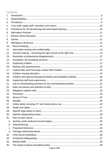# Contents

| 1.  |                 |  |
|-----|-----------------|--|
| 2.  |                 |  |
| 3.  |                 |  |
| 4.  |                 |  |
| 5.  |                 |  |
| 6.  |                 |  |
| 7.  |                 |  |
| 8.  |                 |  |
| 9.  |                 |  |
| 10. |                 |  |
| 11. |                 |  |
| 12. |                 |  |
| 13. |                 |  |
| 14. |                 |  |
| 15. |                 |  |
| 16. |                 |  |
| 17. |                 |  |
| 18. |                 |  |
| 19. |                 |  |
| 20. |                 |  |
| 21. |                 |  |
| 22. |                 |  |
| 23. |                 |  |
| 24. |                 |  |
| 25. |                 |  |
| 26. |                 |  |
| 27. |                 |  |
| 28. |                 |  |
| 29. |                 |  |
| 30. |                 |  |
| 31. |                 |  |
| a.  |                 |  |
| b.  |                 |  |
| C.  |                 |  |
| d.  |                 |  |
| 32. |                 |  |
| 33. |                 |  |
| 34. |                 |  |
| 35. |                 |  |
|     | $D = 2 \cdot 5$ |  |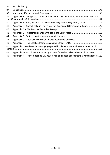| 36. |                                                                                       |  |
|-----|---------------------------------------------------------------------------------------|--|
| 37. |                                                                                       |  |
| 38. |                                                                                       |  |
| 39. | Appendix A - Designated Leads for each school within the Marches Academy Trust and    |  |
| 40. | Appendix B - Early Years - The role of the Designated Safeguarding Lead 43            |  |
| 41. | Appendix C - School/College The role of the Designated Safeguarding Lead47            |  |
| 42. |                                                                                       |  |
| 43. |                                                                                       |  |
| 44. |                                                                                       |  |
| 45. |                                                                                       |  |
| 46. |                                                                                       |  |
| 47. | Appendix I - Workflow for managing reported incidents of Harmful Sexual Behaviour in  |  |
| 48. | Appendix J - Workflow for responding to Harmful and Abusive Behaviour in schools 60   |  |
| 49. | Appendix K - Peer-on-peer sexual abuse: risk and needs assessment & version record 61 |  |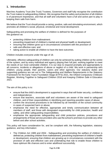# <span id="page-4-0"></span>**1. Introduction**

Marches Academy Trust (the Trust) Trustees, Governors and staff fully recognise the contribution the Trust makes to safeguarding children. We recognise that the safety and protection of all children is of paramount importance, and that all staff and volunteers have a full and active part to play in keeping them safe from harm.

We believe that the Trust should provide a caring, positive, safe and stimulating environment, which promotes all children's social, physical, emotional and moral development.

Safeguarding and promoting the welfare of children is defined for the purposes of this guidance as:

- protecting children from maltreatment:
- preventing impairment of children's mental and physical health or development;
- **ensuring that children grow up in circumstances consistent with the provision of**
- safe and effective care; and
- taking action to enable all children to have the best outcomes.

Children includes everyone under the age of 18.

Ultimately, effective safeguarding of children can only be achieved by putting children at the centre of the system, and by every individual and agency playing their full part, working together to meet the needs of our most vulnerable children. It is our duty to respond promptly and appropriately to all concerns, incidents or allegations of abuse or neglect of a child. We work in partnership with children, young people, their parents, carers and other agencies. Our statutory duties and supporting guidance are set out in The Safeguarding and Welfare Requirements in the Statutory Framework for the Early Years Foundation Stage (EYFS) 2021, the Ofsted Compulsory Childcare Register, Working Together to Safeguard Children 2018 and Keeping Children Safe in Education 2021.

The aim of this policy is to:

- ensure that the child's development is supported in ways that will foster security, confidence and independence;
- ensure that teachers, associate staff and volunteers are aware of the need to safeguard children, and of their responsibilities in identifying and reporting possible cases of abuse;
- confirm the structured procedures to be followed by all members of the school community in cases of suspected harm or abuse;
- emphasise the need for effective, appropriate and timely communication between all members of staff, and those with designated responsibility for child protection, health and safety, and other safeguarding responsibilities;
- emphasise the appropriate safeguarding and child protection policies, procedures and arrangements of those service providers who use the school's premises to provide any other before and after school activities.

This policy will have consideration for, and be compliant with, the following legislation, statutory guidance, and key information:

The Children Act 1989 and 2004 - Safeguarding and promoting the welfare of children is defined as; protecting children from maltreatment, preventing impairment of children's health or development, ensuring that children are growing up in circumstances consistent with the provision of safe and effective care and undertaking that role to enable those children to have optimum life chances and to enter adulthood successfully.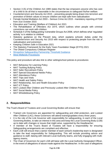- Section 3 (5) of the Children Act 1989 states that the law empowers anyone who has care of a child to do all that is reasonable in the circumstances to safeguard his/her welfare.
- Counterterrorism and Security Act 2015 preventing people being drawn into terrorism and promotion of British values to ensure children are kept safe from radicalisation
- Female Genital Mutilation Act 2003 Serious Crime Act 2015 mandatory reporting of FGM from 31st October 2015
- **Education and Training (Welfare of Children) Act 2021**
- The Rehabilitation of Offenders Act 1974, which outlines when people with criminal convictions can work with children
- Schedule 4 of the Safeguarding Vulnerable Groups Act 2006, which defines what 'regulated activity' is in relation to children
- Statutory guidance on the Prevent duty, which explains schools' duties under the Counterterrorism and Security Act 2015 with respect to protecting people from the risk of radicalisation and extremism
- Keeping Children Safe in Education 2021
- The Statutory Framework for the Early Years Foundation Stage (EYFS) 2021
- The Ofsted Compulsory Childcare Register
- **[Shropshire Safeguarding Partnership Threshold Guidance](https://westmidlands.procedures.org.uk/local-content/2gjN/thresholds-guidance/?b=Shropshire)**
- [West Midlands Procedures](https://westmidlands.procedures.org.uk/)

This policy and procedure will also link to other setting/school policies & procedures:

- **MAT Behaviour for Learning Policy**
- MAT Tackling Bullving Policy
- **MAT Safer Recruitment Policy**
- **MAT Special Educational Needs Policy**
- MAT Attendance Policy
- **MAT Trips and Visits**
- **MAT Health and Safety Policy**
- **MAT Relationship, Sex and Health Education Policy**
- **■** MAT ICT Policy
- **MAT Looked After Children and Previously Looked After Children Policy**
- MAT Social Media Policy
- **MAT Whistleblowing Policy**

# <span id="page-5-0"></span>**2. Responsibilities**

The Trust's Board of Trustees and Local Governing Bodies will ensure that:

- Trained Link Governors are appointed for safeguarding and child protection, and Looked After Children (LAC); these Governors will attend training/updates every three years;
- **.** It is the role of the Link Governor with responsibility for safeguarding, in each of the Local Governing Bodies, to take an interest in this area and keep the Local Governing Body (LGB) up to date with changes or issues that might arise, supported by the Headteacher;
- A member of the Trust's Board of Trustees will have a responsibility for ensuring Safeguarding arrangements are compliant and effective;
- Each LGB will ensure that a senior member of each school's leadership team is designated to take the lead responsibility for Safeguarding. This will include providing advice and guidance to staff, liaising with relevant Local Authority teams, and fully engaging with multiagency teams;
- The Chair of Governors for each LGB will liaise with the Local Authority Designated Officer, in the event of allegations of abuse made against the Headteacher. In the case of allegations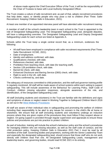of abuse made against the Chief Executive Officer of the Trust, it will be the responsibility of the Chair of Trustees to liaise with Local Authority Designated Officer.

The Trust creates a culture of safe recruitment and, as part of that, adopts recruitment procedures that help deter, reject, or identify people who may pose a risk to children (Part Three: Safer Recruitment: Keeping Children Safe in Education, 2021).

At least one member of an appointed interview panel will have attended safer recruitment training.

A member of staff of the school's leadership team in each school in the Trust is appointed to the role of Designated Safeguarding Lead. The Designated Safeguarding Lead, alongside deputies, will have a safeguarding overview. The Designated Safeguarding Lead and Deputy Designated Safeguarding Leads for each school are listed at Appendix A.

Schools within the Trust keep a single central record that, as a minimum, evidences the following:

- All staff have been employed in compliance with safer recruitment requirements (Part Three: Safer Recruitment: KCSIE, 2021).
- Date of employment.
- Identity and address confirmed, with date.
- Qualifications checked, with date.
- References checked, with date.
- Prohibition from teaching check, with date (for teaching staff).
- **EXECT:** Section 128 prohibition check, with date.
- Barred list check, with date.
- **Enhanced Disclosure and Barring Service (DBS) check, with date.**
- Right to work in the UK, with date.
- Checks confirmed by, and date.

The adequacy of resources committed to child protection, and the staff and governor training profile is regularly monitored. All staff will be made aware of school systems within each setting to support safeguarding. This will include awareness of the Behaviour for Learning Policy, Staff Code of Conduct, children missing education responses, alongside awareness of the role, and identification, of the Designated Safeguarding Lead.

All staff (including students and volunteers) in the Trust are familiar with the definitions and signs and symptoms of abuse or neglect stated in Working Together to Safeguard Children March 2018 as set out in the [West Midlands Procedures](https://westmidlands.procedures.org.uk/)

All staff are aware of their individual roles in safeguarding and promoting the welfare of children including their responsibility to be alert to any issues for concern in the child's life at home or elsewhere. We ensure that all staff (including students and volunteers) undergo an induction process where they are given copies of the procedures they must follow if they suspect abuse or neglect. On-going support is provided through regular supervision and appraisals to ensure these policies and procedures are put into practice to protect children.

As part of induction, training will include the school's behaviour policy and the school's procedures for managing children who are missing education, as well as the staff code of conduct, and the child protection policy. Keeping Children Safe in Education 2021 Part 1 must be read by all members of the staff. Governing bodies and proprietors, working with the Senior Leadership Team and especially the designated safeguarding lead, should ensure that those staff who do not work directly with children read Part one. All Designated Safeguarding Leads, management and leadership teams, and governing bodies, should read KCSiE 2021 in its entirety.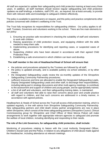All staff are expected to update their safeguarding and child protection training at least every three years. In addition, all staff members should receive regular safeguarding and child protection updates via staff briefings, e-bulletins, staff CPD, etc., as required, but at least annually, to provide them with relevant skills and knowledge to safeguard children effectively.

The policy is available to parents/carers on request, and this policy and practice complements other policies concerned with children's wellbeing in the Trust.

The Trust fully recognises its responsibilities for safeguarding children. Our policy applies to all staff, Trustees, Governors and volunteers working in the school. There are five main elements to our policy:

- 1. Ensuring we practise safe recruitment in checking the suitability of staff and volunteers to work with children.
- 2. Raising awareness of child protection issues, and equipping children with the skills needed to keep them safe.
- 3. Implementing procedures for identifying and reporting cases, or suspected cases of abuse.
- 4. Supporting children who have been abused in accordance with their agreed Child Protection Plan.
- 5. Establishing a safe environment in which children can learn and develop.

## **The staff member in the role of Headteacher/Head of School will ensure that:**

- the policies and procedures adopted by the Trustees are followed by all staff;
- the policy is updated annually, and is available publicly via school websites, or by other means;
- the Designated Safeguarding Leads review the six-monthly updates of the Shropshire Safeguarding Community Partnership procedures;
- sufficient resources and time are allocated to enable the Designated Safeguarding Leads, Deputy Designated Safeguarding Leads and other staff, to discharge their responsibilities, including taking part in strategy discussions and other multi-agency meetings, to contribute to the assessment and support of children and young people, and be appropriately trained;
- **EXT** a list of all staff and volunteers, and their safeguarding training dates, is maintained;
- all staff and volunteers feel able to raise their concerns about poor and unsafe practice with regard to children, and that such concerns are addressed in a timely manner, in accordance with agreed policies.

Headteachers & Heads of School across the Trust will access child protection training, which is updated regularly, in line with advice from Shropshire Safeguarding Community Partnership. New safeguarding partners and child death review partner arrangements are now in place within Shropshire, which consist of the three safeguarding partners (Shropshire Council, Clinical Commissioning group for Shropshire and Chief Officer of West Mercia Police) will make arrangements to work together with appropriate relevant agencies to safeguard and promote the welfare of local children, including identifying and responding to their needs.

## **The role of the Link Governors, for safeguarding child protection, shall include:**

Monitoring of procedures relating to liaison with the Local Authority Designated Officer, Children's Social Care and the Police, in relation to any allegations of child abuse made against the Headteacher, including attendance at relevant meetings.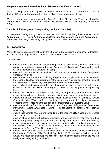## **Allegations against the Headteacher/Chief Executive Officer of the Trust**

Where an allegation is made against the Headteacher this should be referred to the Chair of the Local Governing Body, as well as the Local Authority Designated Officer.

Where an allegation is made against the Chief Executive Officer of the Trust, this should be referred to the Chair of the Board of Trustees, who will liaise with the Local Authority Designated Officer.

## **The role of the Designated Safeguarding Lead (and Deputies)**

All Designated Safeguarding Leads across the Trust will follow the guidance as set out in *Appendix B – The Role of the Early Years Designated Safeguarding Lead* and *Appendix C – The Role of the Designated Safeguarding Lead* (as applicable to the setting).

## <span id="page-8-0"></span>**3. Procedures**

We will follow the procedures set out by the Shropshire Safeguarding Community Partnership and take account of guidance issued by the Department for Education.

The Trust will:

- ensure it has a Designated Safeguarding Lead at each school, who will undertake regular, appropriate training for this role. Each school's Designated Safeguarding Lead will be a member of the Leadership Team:
- ensure it has a member of staff who will act in the absence of the Designated Safeguarding Lead;
- ensure every member of staff (including temporary and supply staff and volunteers) and the Board of Trustees, and Governors of the Local Governing Bodies, know the name of the Designated Safeguarding Lead (and Deputies) and their role(s);
- ensure all staff and volunteers understand their responsibilities in being alert to the signs of abuse, and responsibility for referring any concerns to the Designated Safeguarding Lead;
- ensure that all staff are aware of the early help process, and understand their responsibility to take timely action to help a child if they have a safeguarding concern;
- ensure that all staff are aware of the specific legal duties to report (for example, Female Genital Mutilation (FGM) and forced marriage) and recognise their legal duty in reporting concerns to the Police with the support of the Designated Safeguarding Lead;
- ensure that all staff will have undertaken the Shropshire Safeguarding Community Partnership Raising Awareness Training or its equivalent (all settings have training facilitators);
- ensure that parents have an understanding of the responsibility placed on the school and staff for child protection;
- develop effective links with relevant agencies, and co-operate as required, with their enquiries regarding safeguarding matters, including attendance at strategy meetings, initial case conferences, review conferences, core group, child in need review meetings, and allowing access from host local authorities, where appropriate, to support the completion of Section 17 or 47 assessments;
- ensure that all staff are aware of the signs of sexual violence and abuse, Child Sexual Exploitation (CSE) and Child Criminal Exploitation (CCE), as well as other forms of abuse, and recognise their responsibilities in reporting any concerns immediately to the Designated Safeguarding Lead (DSL);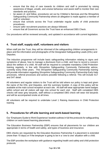- ensure that the duty of care towards its children and staff is promoted by raising awareness of illegal, unsafe, and unwise behaviour and assist staff to monitor their own standards and practice;
- be aware of, and follow, procedures set out by Children's Services and the Shropshire Safeguarding Community Partnership where an allegation is made against a member of staff or volunteer;
- ensure that schools across the Trust undertake regular audits of child protection procedures;
- ensure safer recruitment practices are always followed;
- ensure that all Governors across the Trust have an enhanced DBS Check.

Our procedures will be reviewed annually, and updated in accordance with current legislation.

# <span id="page-9-0"></span>**4. Trust staff, supply staff, volunteers and visitors**

When staff join the Trust, they will be informed of the safeguarding children arrangements in place and the information and photographs of the Designated Safeguarding Leads (DSL) and Deputies.

The induction programme will include basic safeguarding information relating to signs and symptoms of abuse, how to manage a disclosure from a child, and how to record a concern about the welfare of a child. All staff will be required to complete mandatory Child Protection training regularly, in line with Shropshire Safeguarding Community Partnership advice, currently every three years. This Shropshire Safeguarding Community Partnership training will provide information regarding Shropshire Safeguarding Community Partnership Early Help processes, referral processes and actions possible following a referral. This will include S17 and S47 detail.

All volunteers and regular visitors to the Trust will be told where our policy is kept and given the name of the DSL and Deputies, and the summary booklet. A copy of this policy will be available at the main school reception at each site. All staff will wear appropriate name badges within school and all visitors will sign into school for each visit. Staff with completed DBS checks will wear grey lanyards, staff without a completed DBS check will wear red lanyards and will be accompanied onsite at all times.

All volunteers will be required to undertake Level 1 Raising Awareness in Child Protection training.

# <span id="page-9-1"></span>**5. Procedures for off-site learning and work-based learning**

Our 'Employers Guide to Work Experience' booklet outlines in full the protocols for safeguarding children on work-based learning placements.

The Education Business Partnership (EBP) ensures that all placements for our children are appropriate in terms of health and safety, and types of business and insurance.

DBS checks are requested by the Education Business Partnership if a placement is extended (more than 15 days) or if the employer is going to be in a 'one to one' situation with a child.

The EBP provides the workplace with guidance regarding health and safety and child protection protocols.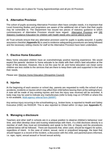Similar checks are in place for Young Apprenticeships and all pre-16 Provision.

# <span id="page-10-0"></span>**6. Alternative Provision**

The cohort of pupils accessing Alternative Provision often have complex needs, it is important that Local Governing Bodies and proprietors are aware of the additional risk of harm that their pupils may be vulnerable to. The Department has issued two pieces of statutory guidance to which commissioners of Alternative Provision should have regard: [Alternative Provision](https://www.gov.uk/government/publications/alternative-provision) and [DfE](https://www.gov.uk/government/publications/education-for-children-with-health-needs-who-cannot-attend-school)  [Statutory Guidance Education for children with health needs who cannot attend school](https://www.gov.uk/government/publications/education-for-children-with-health-needs-who-cannot-attend-school)

All Trust schools ensure that any alternative provision used for pupils is quality-assured. A quality assurance checklist (**Appendix G**) is used to evidence safeguarding procedures are being followed and the necessary vetting checks for staff at the Alternative Provision have been undertaken.

# <span id="page-10-1"></span>**7. Elective Home Education**

Many home educated children have an overwhelmingly positive learning experience. We would expect the parents' decision to home educate to be made with their child's best education at the heart of the decision. However, this is not the case for all, and home education can mean some children are less visible to the services that are there to keep them safe and supported in line with their needs.

Please see: [Elective Home Education \(Shropshire Council\)](https://shropshire.gov.uk/schools-and-education/school-attendance-or-exclusion/elective-home-education/)

# <span id="page-10-2"></span>**8. Injuries**

At the beginning of each session or school day, parents are requested to notify the school of any accidents, incidents or injuries which may affect their child before leaving them at the setting/school. A note will be made of any existing injuries and how the injury was received will be recorded. A body map may be used to indicate any marks/bruises (refer to body map on CPOMS or where this is not available, Multi-agency referral form (MARF)

Any serious injury occurring in the school/setting e.g., broken bone, is reported to Health and Safety Executive (HSE) via RIDDOR. This is also reported to Ofsted within 14 days (see **Appendix F**).

## <span id="page-10-3"></span>**9. Managing a disclosure**

Teachers and other staff in schools are in a unique position to observe children's behaviour over time, and often develop close and trusting relationships with them. If a child discloses directly to a member of staff, they must act immediately and speak to the DSL or Deputy and the procedures outlined below will be followed. There are keywords that, when used, should be triggers for action, regardless of intent. In the case of violent, sexual, racist or prejudiced language, the least that should happen is a record of the incident, a discussion with the child, and parents/carers informed, i.e. rape, rapist, sexual assault or forced sexual activity.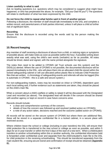## **Listen carefully to what is said**

Ask no leading questions (i.e. questions which may be considered to suggest what might have happened, or who has perpetrated the abuse, for example, "Did your Dad hit you?") The questions will relate to clarification of what has been expressed by the child.

#### **Do not force the child to repeat what he/she said in front of another person**

Following a disclosure, the member of staff should talk immediately to the DSL and complete a written record, and parents/carers of both parties informed, unless it will place a child at further risk of significant harm.

#### **Recording**

Ensure that the disclosure is recorded using the words said by the person making the disclosure.

## <span id="page-11-0"></span>**10.Record keeping**

Any member of staff receiving a disclosure of abuse from a child, or noticing signs or symptoms of possible abuse, will make notes as soon as possible (within the hour, if possible) writing down exactly what was said, using the child's own words (verbatim) as far as possible. All notes should be timed, dated and signed, with the name printed alongside the signature.

The notes then need to be added to CPOMS (all Trust schools use this system) and the D/DSL(s) alerted. Where the use of CPOMS is not possible, the documented disclosure will be passed immediately to the DSL, who will place them into an allocated child-file stored within the locked safeguarding cabinet or will use allocated yellow plastic files to indicate Child Protection files that are written. A chronology of safeguarding events and referrals will also be logged (this is automatic in CPOMS - this is a safe and secure system.)

For non-safeguarding matters, notes may be recorded on Arbor or CPOMS, dependent upon each local setting and, if further evidence such as statements are taken, they should be placed on the child's main file.

When a concern about a child's welfare or safety is raised it will be discussed with the Designated Lead and recorded (as above). The designated lead will decide if the concern should be shared with another agency or kept on record in case future concerns arise.

Records should include:

- a clear and comprehensive summary of the concern;
- details of how the concern was followed up and resolved (added action on CPOMS);
- a note of any action taken, decisions reached and the outcome (added action on CPOMS).

All records will be stored on the secure system of CPOMS but where there are additional files, these will be stored in a separate confidential file in a locked cabinet, in a secure place with restricted access.

Where children leave the school or college (including in-year transfers) the DSL will ensure their child protection file is transferred to the new school or college as soon as possible, and within 5 days for an in-year transfer or within the first 5 days of the start of a new term. When a child/student transfers to another school/setting within this or another authority, the confidential information held is forwarded under confidential cover and separate from the child's/student's main file to the DSL for child protection in the receiving school/setting. This should be transferred separately from the main student file, ensuring secure transit and confirmation of receipt should be obtained (**Appendix D**).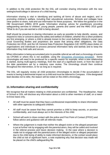In addition to the child protection file the DSL will consider sharing information with the new setting/school/college in advance of a child leaving.

Information sharing is vital in identifying and tackling all forms of abuse and neglect, and in promoting children's welfare, including their educational outcomes. Schools and colleges have clear powers to share, hold and use information for these purposes. We follow the guidance in the HM Government (HMG) 2018 guide 'Information sharing: advice for practitioners providing safeguarding services to children, young people, parents and carers' and the HMG 2015 guide 'What to do if you are worried a child is being abused'.

Staff should be proactive in sharing information as early as possible to help identify, assess, and respond to risks or concerns about the safety and welfare of children, whether this is when problems are first emerging, or where a child is already known to the Local Authority children's social care. Local Governing Bodies and proprietors are aware that among other obligations, the Data Protection Act 2018, and the UK General Data Protection Regulation (UK GDPR) place duties on organisations and individuals to process personal information fairly and lawfully and to keep the information they hold safe and secure.

When information is being accumulated prior to possible referral we will start a chronology of events via CPOMS or where this is not available, using the [Shropshire chronology template\)](https://westmidlands.procedures.org.uk/local-content/2gjN/thresholds-guidance/?b=Shropshire). Some chronologies will need to be produced for a specific reason for example, when a new relationship is started, during multi-agency meetings, from the start of a significant event, or from the start of the date parameters set by a statutory case review. The chronology should then continue throughout the intervention, or for as long as is required.

The DSL will regularly review all child protection chronologies to decide if the accumulation of events is having a detrimental impact on a child and must be referred to Compass. If the designated lead decides not to refer, the reason will be noted on the child's chronology.

## <span id="page-12-0"></span>**11.Information sharing and confidentiality**

We recognise that all matters relating to child protection are confidential. The Headteacher, Head of School or DSL will disclose any information about a child to other members of staff, on a needto-know basis only.

- All staff must be aware that they have a professional responsibility to share information with other agencies to safeguard children.
- All staff must be aware that they cannot promise a child to keep secrets, or promise confidentiality, and must always act in the interests of the child.
- School will work in close contact with the police and First Point of Contact (FPOC) and follow advice and guidance with all referrals made.
- Where the judgement is made that neither the alleged victim or the alleged perpetrator is put at further risk by engaging with the parents/carers, they will be called and involved in the referral process and future decision making. In the case where a decision is made not to engage with the parents/carers of the alleged victim or alleged perpetrator due to the child being of ability to make informed decisions, or the contact would place the child at risk of significant harm, a note explaining why that decision was made will be placed on the child's safeguarding file.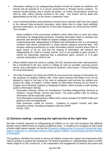- Information relating to any safeguarding situation should be treated as evidence and should only be passed on in a secure environment or through secure systems. To prevent harmful gossip, and to protect all parties, no further conversations should be held by staff, unless directly involved in the case. Any breach will be dealt with appropriately by the DSL or the Senior Leadership Team.
- Local Governing Bodies and proprietors should ensure relevant staff have due regard to the relevant data protection principles, which allow them to share (and withhold) personal information, as provided for in the Data Protection Act 2018 and the GDPR. This includes:
	- being confident of the processing conditions which allow them to store and share information for safeguarding purposes, including information which is sensitive and personal, and should be treated as 'special category personal data';
	- understanding that 'safeguarding of children and individuals at risk' is a processing condition that allows practitioners to share special category personal data. This includes allowing practitioners to share information without consent where there is good reason to do so, and that the sharing of information will enhance the safeguarding of a child in a timely manner, but it is not possible to gain consent, it cannot be reasonably expected that a practitioner gains consent, or if to gain consent would place a child at risk.
- Where children leave the school or college, the DSL should ensure their child protection file is transferred to the new school or college as soon as possible, ensuring secure transit, and confirmation of receipt should be obtained. (See section 7 Record Keeping for more information).
- The Data Protection Act 2018 and GDPR do not prevent the sharing of information for the purposes of keeping children safe. Fears about sharing information must not be allowed to stand in the way of the need to safeguard and promote the welfare and protect the safety of children. Further details on information sharing can be found in Chapter one of Working Together to Safeguard Children, which includes a myth-busting guide to information sharing:
	- Information Sharing: Advice for Practitioners Providing Safeguarding Services to Children, Young People, Parents and Carers. The seven golden rules for sharing information will be especially useful.
	- The Information Commissioner's Office (ICO), which includes ICO GDPR FAQs and guidance from the department.
	- Data protection: toolkit for schools Guidance to support schools with data protection activity, including compliance with the GDPR.
	- KCSIE, 2021.

# <span id="page-13-0"></span>**12.Decision making – accessing the right service at the right time**

We take a holistic approach to safeguarding all children in our care and recognise that different families need a different level of support at different times. To enable us to recognise at which level a family might require support, we use the [Shropshire Safeguarding Community Partnership Multi-](https://westmidlands.procedures.org.uk/local-content/2gjN/thresholds-guidance/?b=Shropshire)[Agency Guidance on Threshold Criteria to help support Children, Young People and their Families](https://westmidlands.procedures.org.uk/local-content/2gjN/thresholds-guidance/?b=Shropshire)  [in Shropshire.](https://westmidlands.procedures.org.uk/local-content/2gjN/thresholds-guidance/?b=Shropshire)

This guidance identifies four levels to ensure all children receive the support and intervention they need to achieve a positive life experience. Of central importance in understanding where a child's needs might lie on this continuum, is the cooperation and engagement of parents and carers and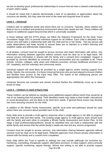we aim to develop good, professional relationships to ensure that we have a shared understanding of each child's needs.

It should be noted that if parents demonstrate a lack of co-operation or appreciation about the concerns we identify, this may raise the level of the need and required level of action.

## **Level 1 – Universal**

Children with no additional needs and where there are no concerns. Typically, these children are likely to live in a resilient and protective environment where their needs are met. These children will require no additional support beyond that which is universally available.

In those settings with the EYFS phase, we follow the Statutory Framework for the Early Years Foundation Stage 2021 to provide individual support for all children. Each child is allocated a key person who will make a relationship both with the child and his or her family. The key person will make observations and keep records to ensure there are no barriers to a child's learning and establish stable and affectionate relationships.

In all phases, consent must be sought to access services and share information with others. Any information sharing between agencies without consent must be clear as to its legal basis. We ensure privacy information is shared with the family and a consent form completed. Support is provided by services identified as universal in local communities and are available to all. These include: schools, colleges, early years and childcare provision, primary healthcare provision (i.e. GP, hospitals), and the voluntary and community sector.

Universal support will most likely be provided by a single agency and/or existing support from family, friends, the community. It is these Universal Services who are best placed to ensure children and families have access to the Early Help Offer. The needs of the child/young person are appropriately met within this framework.

Universal Services are constant and remain involved if/when the child/family move up to other levels of need.

## **Level 2 – Children in need of Early Help**

These children can be defined as needing some additional support without which they would be at risk of not meeting their full potential. Their identified needs may relate to their health, educational, or social development, and are likely to be short term needs. If ignored these issues may develop into more worrying concerns for the child.

In addition to the Whole Family Assessment, specific local tools and pathways should be used where there are concerns about possible harm to the child.

Early Help aims to provide a multi-agency response when a single agency is not able to progress and help the child and their family. The existing single agency or multi-agency team should work with the family and each other to complete a Whole Family Assessment and Action Plan. At this stage a lead professional/practitioner should be identified who can build a relationship with the whole family and ensure that the whole family's needs are met and any actions progressed.

Consent must be sought to access services. Any information sharing between agencies without consent must be clear as to its legal basis. Relevant agencies must ensure privacy information is shared with the family and a consent form completed.

Early Help within the Trust is specific to settings but may include (although not exclusive to): mentoring, counselling, therapeutic support, alternative provision, in-class support, extra-curricular support, specific monitoring, equine therapy. Where one setting is not able to provide support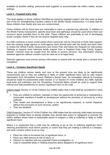available at another setting, personnel work together to accommodate the child's needs, across settings.

## **Level 3 –Targeted Early Help**

This level applies to those children identified as requiring targeted support and who meet at least two of the six Strengthening Families criteria in the Whole Family Assessment. It is likely that for these children their needs and care are compromised.

These children will be those who are vulnerable to harm or experiencing adversity. In addition to the Whole Family Assessment, specific local tools and pathways should be used where there are concerns about possible harm to the child. These children are potentially at risk of developing acute/ complex needs if they do not receive targeted early help.

If a child continues to have unmet needs which cannot be met by Universal or Early Help support, then the existing single agency or multi-agency team should work with the family and each other to review the Whole Family Assessment and Action Plan and follow the Request for Intervention Pathway to request more intensive family support from a Targeted Early Help Family Support Worker. Consent must be sought from the family to access services. Any information sharing between agencies without consent must be clear as to its legal basis.

Relevant agencies must ensure privacy information is shared with the family and a consent form completed.

## **Level 4 – Complex Significant Needs**

These are children whose needs and care at the present time are likely to be significantly compromised and or they are suffering or likely to suffer significant harm and so who require intervention from Shropshire Council Children's Social Care. An immediate referral to Compass should be made for assessment under Section 17 or Section 47 of the Children Act 1989. Specific local tools and pathways and the Shropshire Threshold Matrix should be used to support their referral and help practitioners to assess significant harm to the child.

Child in Need: Section 17 of the Children Act (1989) states that a child shall be considered in need if:

- They are unlikely to achieve, maintain or have the opportunity of achieving or maintaining a reasonable standard of health or development without the provision of services by a local authority.
- Their health and development is likely to be significantly impaired, or further impaired, without the provisions of such services, and/or;
- They are disabled.

Child Protection: Section 47 of the Children Act 1989 states that the authority shall make necessary enquiries to enable them to decide whether they should take action to safeguard or promote the child's welfare where there is reasonable cause to suspect a child is suffering or likely to suffer significant harm.

Where it is suspected that a child may be suffering or be at risk of suffering significant harm; referring practitioners must inform parents or carers that they are making a referral to Compass, and seek consent unless to do so may:

- Place the child at increased risk of significant harm; or
- Place any other person at risk of injury; or
- Obstruct or interfere with any potential Police investigation; or
- Lead to unjustified delay in making enquiries about allegations of significant harm.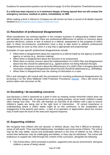Guidance for assessment practice can be found on page 13 of the Shropshire Threshold document.

## **If a child has been injured or is in imminent danger of being injured then we will contact the emergency services, medical or police, immediately on 999.**

When making a level 4 referral to Compass we will ensure we have a record of all details required detailed on a [Shropshire Multi-Agency Referral Form.](http://westmidlands.procedures.org.uk/local-content/zgjN/multi-agency-referral-reporting-concerns-marf)

# <span id="page-16-0"></span>**13.Resolution of professional disagreements**

When practitioners are working together in the complex business of safeguarding children there will inevitably be occasions when there are professional differences of opinion or concerns about practice decisions, actions or lack of actions to a referral, assessment or the progress of child's plan. In these circumstances, practitioners have a duty to take action to address professional disagreements as soon as they arise in a way that is appropriate and proportionate

Examples of case-specific professional disagreements include:

- When there is disagreement about the response to a referral made by one agency to another agency or service (e.g., decision making).
- When there is disagreement about the outcome of an assessment.
- When there is serious concern about the implementation of a child's Plan and disagreement about how this should be addressed (e.g., agreed actions not being followed through).
- When there is serious concern about the effectiveness of a child's Plan in bringing about the necessary changes and disagreement about how this should be addressed (e.g., drift/delay).
- When there is disagreement over the sharing of information in a case.

DSLs and managers will consult with the procedures for resolving professional disagreements by accessing it on the West Midlands Child Protection Procedures [website](http://westmidlands.procedures.org.uk/local-content/4gjN/escalation-policy-resolution-of-professional-disagreements/?b=ShropshirePage%20generated%20in%200.0112%20seconds.) . DSLs will record any actions taken and outcomes on file.

# <span id="page-16-1"></span>**14.Escalating / de-escalating concerns**

Just because a child is assessed at a point in time as meeting certain threshold criteria does not mean that they always will. An assessment is an on-going process, not an event; children's needs often change over time. The DSL will maintain an overview of all children with a plan to ensure children's needs are being met at the right level of intervention. Of central importance in understanding where a child's needs might lie on this continuum, is the cooperation and engagement of the parents and carers – a lack of co-operation or appreciation about the concern may of itself raise the level of the need and required response.

# <span id="page-16-2"></span>**15.Supporting children**

We recognise that children who are abused, or witness abuse, may find it difficult to develop a sense of self-worth. They may feel helplessness, humiliation and some sense of blame. The school may be the only stable, secure and predictable element in the lives of children at risk. When at school their behaviour may be challenging and defiant, or they may be withdrawn. The school will endeavour to support the child through the content of the curriculum, alongside the following:

■ The school ethos, which promotes a positive, supportive and secure environment, and gives children a sense of being valued.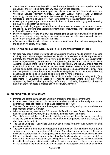- The school will ensure that the child knows that some behaviour is unacceptable, but they are valued, and not to be blamed for any abuse which has occurred.
- Liaison with other agencies that support the child such as the 0-25 Emotional Health and Wellbeing Service (formerly CAMHS), Education Welfare Service and Educational Psychology Service, and those agencies involved in the safeguarding of children.
- Contacting First Point of Contact (FPOC) immediately there is a significant concern.
- Providing a range of support structures within the school, such as buddying and mentoring programmes, and referrals to mentors.
- Providing continuing support to a child about whom there have been concerns, who leaves the school, by ensuring that appropriate information is forwarded, under confidential cover to the child's new school.
- **•** Provide opportunity for the child's wishes or feelings to be considered when determining the action taken, though always acting in the best interests of the child. Systems are in place to allow for this through discussion with the child.
- Offer opportunities for all children to access a curriculum that includes safeguarding, including online safety awareness.

## **Children who need a social worker (Child in Need and Child Protection Plans)**

- Children may need a social worker due to safeguarding or welfare needs. Children may need this help due to abuse, neglect and complex family circumstances. A child's experiences of adversity and trauma can leave them vulnerable to further harm, as well as educationally disadvantaged in facing barriers to attendance, learning, behaviour and mental health. Local Authorities should share the fact a child has a social worker, and the DSL should hold and use this information so that decisions can be made in the best interests of the child's safety, welfare and educational outcomes. This should be considered as a matter of routine. There are clear powers to share this information under existing duties on both local authorities and schools and colleges, to safeguard and promote the welfare of children.
- Where children need a social worker, this should inform decisions about safeguarding (e.g. responding to unauthorised absence or missing education where there are known safeguarding risks) and about promoting welfare (e.g. considering the provision of pastoral and/or academic support, alongside action by statutory services).

## <span id="page-17-0"></span>**16.Working with parents/carers**

- Parents and carers play an important role in protecting their children from harm.
- In most cases, the school will discuss concerns about a child with the family and, where appropriate, seek their agreement to making referrals to FPOC.
- The use of an external agent must be engaged when any safeguarding concern relates to a staff member or family member.
- Where there are any doubts, the DSL should clarify with the Initial Contact Team, whether, and if so when and by whom, the parents should be told about the referral.
- The child's views will be considered in deciding whether to inform the family, particularly where the child is sufficiently mature to make informed judgements about the issues, and about consenting to that.
- The use of Compass Early Help Line may also be used for advice and guidance in child protection matters.
- The school aims to help parents understand that the school, like all others, has a duty to safeguard and promote the welfare of all children. The school may need to share information and work in partnership with other agencies when there are concerns about a child's welfare.
- If there is a situation involving a member of staff or family member of a member of staff, to ensure that the person investigating, or taking charge of the enquiry, has sufficient authority to enable them to carry out their duties without fear of consequence. In these cases, a senior or external neutral agent might need to be engaged to ensure procedure is not impacted on,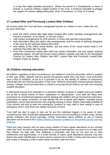in a way that might prejudice procedure. Where the person is a Headteacher or Head of School, or a person holding a higher position in the Trust, it would be advisable to engage the support of a senior safeguarding lead, Chair of Governors, or Chair of Trustees.

# <span id="page-18-0"></span>**17.Looked After and Previously Looked After Children**

All schools within the Trust will have a designated teacher for children in care. Under this role, for each child they:

- know the child's looked after legal status (looked after under voluntary arrangements with consent of parents, or an interim, or full care order);
- hold contact arrangements for birth parents, or those with parental responsibility;
- hold information about the child's care arrangements, and the levels of authority delegated to the carer by the authority looking after them;
- hold details of the child's social worker, and the name of the virtual school head in the authority that looks after the child;
- know that a previously looked after child may remain vulnerable, and may require ongoing additional support. All staff will monitor these children carefully and refer to the Designated Teacher for Looked After Children (see MAT Looked After and Previously Looked After Children Policy for details).

## <span id="page-18-1"></span>**18.Children missing education**

All children, regardless of their circumstances, are entitled to a full-time education, which is suitable to their age, ability, aptitude and any special educational needs they may have. Local authorities have a duty to establish, as far as it is possible to do so, the identity of children of compulsory school age who are missing education in their area. Effective information sharing between parents, schools, colleges and local authorities is critical to ensuring that all children are safe and receiving suitable education.

A child going missing from education is a potential indicator of abuse or neglect and such children are at risk of being victims of harm, exploitation or radicalisation. Trust staff will follow their procedures for unauthorised absence and for dealing with children who go missing from education, particularly on repeat occasions, to help identify the risk of abuse and neglect, including sexual exploitation, and to help prevent the risks of going missing in future. Where reasonably possible all Trust schools will hold at least two emergency contacts for very child in their setting in case of emergency and in case there are welfare concerns at home.

Trust staff are alert to signs to look out for and the individual triggers to be aware of when considering the risks of potential safeguarding concerns such as travelling to conflict zones, female genital mutilation and forced marriage. Further information about children at risk of missing education can be found in the [Children Missing Education guidance or Shropshire Council Learning](https://shropshire.gov.uk/schools-and-education/school-attendance-or-exclusion/children-missing-education-cme/)  [Gateway.](https://shropshire.gov.uk/schools-and-education/school-attendance-or-exclusion/children-missing-education-cme/)

There are many reasons why we want young children to have regular attendance at our settings within the Trust. As well as supporting their learning and development, we want to try to make sure that children are kept safe, their wellbeing is promoted, and they do not miss out on their entitlements and opportunities. In a small minority of cases, good attendance practice may also lead to the earlier identification of more serious concerns for a child or family and may have a vital part to play in keeping a child or other family members safe from harm.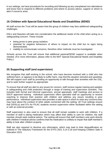In our settings, we have procedures for recording and following up any unexplained non-attendance and know how to respond to different problems and where to access advice, support or whom to alert if concerns arise.

# <span id="page-19-0"></span>**19.Children with Special Educational Needs and Disabilities (SEND)**

All staff across the Trust will be aware that this group of children may face additional safeguarding challenges.

DSLs and Deputies will take into consideration the additional needs of the child when acting on a safeguarding concern. These include:

- being prone to peer group isolation;
- **•** potential for negative behaviours of others to impact on the child but no signs being demonstrated;
- inability to communicate concerns, therefore other methods must be investigated.

Schools across the Trust will ensure that additional pastoral/SEND support is available when needed. (For more information, please refer to the MAT Special Educational Needs and Disability Policy.)

# <span id="page-19-1"></span>**20.Supporting staff (and supervision)**

We recognise that staff working in the school, who have become involved with a child who has suffered harm, or appears to be likely to suffer harm, may find the situation stressful and upsetting. We will support such staff by providing an opportunity to talk through their anxieties with the DSL, and to seek further support as appropriate.

To ensure that all staff are alert to any issues for concern, staff receive regular training and updates in safeguarding and child protection through a range of training and supervision activities. This includes both formal and informal supervision, annual appraisals, staff meetings and access to SSCP approved training. Individual supervision offers specialist staff an opportunity to receive coaching to improve their practice with children and address any issues resulting in poor performance. Individual supervision also provides a safe space in which to raise any concerns they may have about the conduct of other adults connected with the setting. All Trust settings ensure that D/DSL(s) and DTs for P/LAC students receive supervision either facilitated within the setting or with an external provider.

Staff supervision is also used to ensure that all staff remain suitable to work with children. If a member of staff is taking medication which may affect their ability to care for children, the staff member should seek medical advice. The setting will ensure that staff members only work directly with children if medical advice confirms that the medication is unlikely to impair that staff member's ability to look after children properly.

Staff are also required to disclose any information, which may lead to their disqualification as outlined in The Statutory Framework for the EYFS 2021 3.14-3.18 and Keeping Children Safe in Education 2021.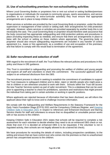# <span id="page-20-0"></span>**21.Use of school/setting premises for non-school/setting activities**

Where Local Governing Bodies or proprietors hire or rent out school or setting facilities/premises to organisations or individuals (for example to community groups, sports associations, and service providers to run community or extra-curricular activities) they must ensure that appropriate arrangements are in place to keep children safe.

When services or activities are provided by the Local Governing Body or proprietor, under the direct supervision or management of their school or setting staff, their arrangements for child protection will apply. However, where services or activities are provided separately by another body this is not necessarily the case. The Local Governing Body or proprietor should therefore seek assurance that the body concerned has appropriate safeguarding and child protection policies and procedures in place (including inspecting these as needed); and ensure that there are arrangements in place to liaise with the school or setting on these matters where appropriate. The governing body or proprietor should also ensure safeguarding requirements are included in any transfer of control agreement (i.e., lease or hire agreement), as a condition of use and occupation of the premises; and that failure to comply with this would lead to termination of the agreement.

# <span id="page-20-1"></span>**22.Safer recruitment and selection of staff**

With regard to the recruitment of staff, the Trust follows the relevant policies and procedures in this policy and those in DfE guidance.

*This Trust is committed to safeguarding and promoting the welfare of children and young people and expects all staff and volunteers to share this commitment. The successful applicant will be subject to an enhanced disclosure from the DBS.* 

The recruitment process is robust in seeking to establish the commitment of candidates to support the Trust measures to safeguard children and to deter, reject or identify people who might pose a risk to children or are otherwise unsuited to work with them. Schools within the Trust will access the new Teacher Services system as part of safer recruitment. This is a database that can be used prior to appointing a teacher to check for prohibitions, sanctions and restrictions that might prevent the individual from taking part in certain activities or working in specific positions.

Where applicants are rejected because of information that has been disclosed, we will inform the applicant about their right to know and to challenge incorrect information.

We comply with the Safeguarding and Welfare Requirements in the Statutory Framework for the Early Years Foundation Stage (EYFS) 2021 and the Compulsory Childcare Register, and Keeping [Children Safe in Education 2021](https://assets.publishing.service.gov.uk/government/uploads/system/uploads/attachment_data/file/999348/Keeping_children_safe_in_education_2021.pdf) in respect to references and Enhanced Disclosure and Barring Service checks for staff and volunteers to ensure that no disqualified or unsuitable person works with or has access to the children.

Keeping Children Safe in Education 2021 states that schools will be required to complete a risk assessment for each volunteer to decide whether they need to do an enhanced DBS check or not. (Note that even if it is decided an enhanced DBS is to be requested, if the volunteer is not in regulated activity, then schools are not legally allowed to do a barred list check).

We have procedures for recording the details of visitors, including prospective candidates, to the setting and ensure that we have control over who comes into the premises so that no unauthorised person has unsupervised access to the children.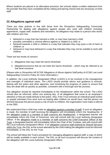Where students are placed in an alternative provision, the schools obtain a written statement from the provider that they have completed all the vetting and barring checks that are necessary on their staff.

# <span id="page-21-0"></span>**23.Allegations against staff**

There are clear policies in line with those from the Shropshire Safeguarding Community Partnership for dealing with allegations against people who work with children including apprentices, supply staff, students and volunteers. An allegation may relate to a person who works with children who has:

- behaved in a way that has harmed a child, or may have harmed a child;
- possibly committed a criminal offence against or related to a child; or
- behaved towards a child or children in a way that indicates they may pose a risk of harm to children; or
- behaved or may have behaved in a way that indicates they may not be suitable to work with children.

There are two levels of concern:

- 1. Allegations that may meet the harms threshold.
- 2. Allegation/concerns that do not meet the harms threshold which may be referred to as 'low level concerns'.

#### (Please refer to *Shropshire HR KCSiE Allegations of Abuse Against Staff policy & KCSiE Low Level Safeguarding Concerns Policy* for more information.*)*

In addition, the Local Authority Designated Officer (LADO) is to be involved in the management and oversight of individual cases. The LADO should provide advice and guidance to schools, liaising with the police and other agencies, and monitoring the progress of cases to ensure that they are dealt with as quickly as possible, consistent with a thorough and fair process.

Any allegation should be reported immediately to the Headteacher within the school. The LADO should also be informed, within one working day, of all allegations that come to an employer's attention or that are made directly to the police. Also, if the Trust removes an individual (paid worker or unpaid volunteer) from work such as looking after children (or would have, had the person not left first) because the person poses a risk of harm to children, the organisation must make a referral to the DBS.

We understand that a child may make an allegation against a member of staff. If such an allegation is made, the member of staff receiving the allegation will immediately inform the Headteacher. If the allegation made to a member of staff concerns the Headteacher, a designated teacher will immediately inform the Chair of Governors, who will consult with the Local Authority Designated Officer. If the allegation made to a member of staff concerns the Chief Executive Officer of the Trust, a designated teacher will immediately inform the Chair of the Trustees, who will consult with the Local Authority Designated Officer. If an allegation concerns staff working for Shared Services within the Trust, the DSL at the school attended by the child making the allegation must be informed immediately, or the DSL for the Trust.

The school will follow the Trust's procedure for managing allegations against staff, a copy of which will be readily available in each school. The DSL on all such occasions will discuss the content of the allegation with the Local Authority Designated Officer.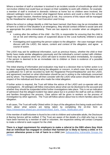Where a member of staff or volunteer is involved in an incident outside of school/college which did not involve children but could have an impact on their suitability to work with children, for example, a member of staff is involved in domestic violence at home but no children were involved, the relevant setting(s) need to consider what triggered these actions and could a child in the school trigger the same reaction, therefore being put at risk. Any concerns of this nature will be managed by the Headteacher alongside Trust Executive Lead Group.

Where the school or college identify a child has been harmed, that there may be an immediate risk of harm to a child or if the situation is an emergency, they should contact children's social care and as appropriate the police immediately. There are two aspects to consider when an allegation is made:

- Looking after the welfare of the child the DSL is responsible for ensuring that the child is not at risk and referring cases of suspected abuse to the Local Authority children's social care.
- **EXTERN Investigating and supporting the person subject to the allegation the case manager should** discuss with the LADO, the nature, content and context of the allegation, and agree a course of action.

The LADO may ask for additional information, such as previous history, whether the child or their family have made similar allegations previously and the individual's current contact with children. There may be situations when the LADO will want to involve the police immediately, for example, if the person is deemed to be an immediate risk to children or there is evidence of a possible criminal offence.

The initial sharing of information and evaluation may lead to a decision that no further action is to be taken regarding the individual facing the allegation or concern, in which case, this decision and a justification for it will be recorded by both the Registered Person/Headteacher and the LADO, and agreement reached on what information should be put in writing to the individuals concerned and by whom. The Headteacher will then consider with the LADO what action should follow both in respect of the individual and those who made the initial allegation.

If further action is required, the Trust will follow the advice of the LADO and co-operate with any investigations. All setting(s) will follow instructions about what can be disclosed to the accused and whether they should be suspended whilst further investigations take place. This is not an indication of admission that the alleged incident has taken place but is to protect the staff as well as children and families throughout the process. Clear advice will be given to workers on the process of investigation by other agencies. The Trust will follow advice about how to inform families about the allegation.

In all cases, The Trust will notify Ofsted within 14 days of the allegations first being made and inform them about what actions are being taken by completing the on-line form at: [https://ofstedonline.ofsted.gov.uk/ofsted/Ofsted\\_Early\\_Years\\_Notification.ofml](https://ofstedonline.ofsted.gov.uk/ofsted/Ofsted_Early_Years_Notification.ofml)

If the member of staff/volunteer is found to be a risk to children and vulnerable adults, the Disclosure & Barring Service will be notified. If The Trust are aware of the details of a child who has or may have been harmed by a member of staff or volunteer, the respective setting will contact Compass to make a referral to seek support for the child.

**There is a legal requirement for employers to make a referral to the DBS where they think that an individual has engaged in conduct that harmed (or is likely to harm) a child; or if a person otherwise poses a risk of harm to a child** (see [Safeguarding Vulnerable Groups Act](http://www.legislation.gov.uk/ukpga/2006/47/pdfs/ukpga_20060047_en.pdf) [2006\)](http://www.legislation.gov.uk/ukpga/2006/47/pdfs/ukpga_20060047_en.pdf).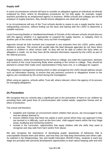## **Supply staff**

In some circumstances schools will have to consider an allegation against an individual not directly employed by them, where its disciplinary procedures do not fully apply, for example, supply teachers provided by an employment agency or business. Whilst schools and colleges are not the employer of supply teachers, they should ensure allegations are dealt with properly.

In no circumstances will any of the Trust schools decide to cease to use a supply teacher due to safeguarding concerns, without finding out the facts and liaising with the LADO to determine a suitable outcome.

Local Governing Bodies or Headteachers/Heads of Schools of the relevant schools should discuss with the agency whether it is appropriate to suspend the supply teacher, or redeploy them to another part of the school, whilst they carry out their investigation.

Agencies should be fully involved and cooperate in any enquiries from the LADO, police and/or children's services. The school will usually take the lead because agencies do not have direct access to children or other school staff, so they will not be able to collect the facts when an allegation is made, nor do they have all the relevant information required by the LADO as part of the referral process.

Supply teachers, whilst not employed by the school or college, are under the supervision, direction and control of the Local Governing Body when working in the school or college. They should be advised to contact their trade union representative if they have one, or a colleague for support.

The allegations management meeting which is often arranged by the LADO should address issues such as information sharing, to ensure that any previous concerns or allegations known to the agency are considered by the school during the investigation.

When using an agency, schools within Trust will, where relevant, inform the agency of its process for managing allegations.

# <span id="page-23-0"></span>**24.Prevention**

We recognise that our schools play a significant part in the prevention of harm to our children by providing them with good lines of communication with trusted adults, supportive friends and an ethos of protection.

The school will therefore:

- establish and maintain an environment where children feel secure, are encouraged to talk, and are always listened to;
- ensure children know that there are adults in each school whom they can approach if they are worried or in difficulty, such as the form tutor, child support teams within the Key Stage areas, buddying and mentoring systems;
- include in the curriculum, opportunities that equip children with the skills they need to recognise and stay safe from harm and/or from abuse.

We also recognise the importance of developing pupils' awareness of behaviour that is unacceptable towards them and others, and how they can help keep themselves and others safe. As outlined in the Relationships, Sex and Health Education (RSHE) Policy, students in each key stage are provided with personal development opportunities to learn about keeping safe and who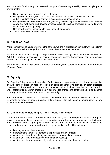to ask for help if their safety is threatened. As part of developing a healthy, safer lifestyle, pupils are taught to:

- Safely explore their own and others' attitudes.
- Recognise and manage risks in different situations and how to behave responsibly.
- Judge what kind of physical contact is acceptable and unacceptable.
- Recognise when pressure from others (including people they know) threatens their personal safety and well-being and develop effective ways of resisting pressure; including knowing when and where to get help.
- Use assertiveness techniques to resist unhelpful pressure.
- The importance of Internet safety.

## <span id="page-24-0"></span>**25.Abuse of Trust**

We recognise that as adults working in the schools, we are in a relationship of trust with the children in our care and acknowledge that it is a criminal offence to abuse that trust.

We acknowledge that the principle of equality embedded in the legislation of the Sexual Offenders Act 2003 applies, irrespective of sexual orientation: neither homosexual nor heterosexual relationships are acceptable within a position of trust.

We recognise that the legislation is intended to protect young people in education who are under 18 years of age.

## <span id="page-24-1"></span>**26.Equality**

Our Equality Policy ensures the equality of education and opportunity for all children, irrespective of race, gender, disability, faith or religion or socio-economic background, or other protected characteristic. Repeated racist incidents or a single serious incident may lead to consideration under safeguarding children procedures. A separate log of these incidents will be kept and shared on a regular basis with Governors and Local Authority.

Special Educational Needs and Disabilities: staff will be aware that children with disabilities will be vulnerable to forms of abuse including online abuse. Staff will respond appropriately to any concerns and alert the DSL.

## <span id="page-24-2"></span>**27.Online safety including ICT and mobile phone use**

The use of mobile phones and other electronic devices, such as computers, tablets, and game devices is commonplace. However, as a society, we are beginning to recognise that although these devices have brought great benefit, we also need to ensure that we help children to understand there are dangers, and how to keep themselves safe. This includes:

- keeping personal details secure;
- understanding that not all content is appropriate, truthful or legal;
- what to do if they do accidently access inappropriate or illegal content;
- what to do if they are upset by something they receive;
- what to do if they are going to physically meet someone they have met online.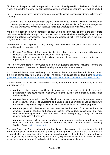Children's mobile phones will be expected to be turned off and placed into the bottom of their bag. If seen or used, the phone will be confiscated, and the Behaviour for Learning Policy will be applied.

Our ICT policy recognises that internet safety is a whole school responsibility (staff, children, and parents).

*Children and young people may expose themselves to danger, whether knowingly or unknowingly, when using the internet and other technologies. Additionally, some young people may find themselves involved in activities which are inappropriate or possibly illegal.* 

We therefore recognise our responsibility to educate our children, teaching them the appropriate behaviours and critical thinking skills, to enable them to remain both safe and legal when using the internet and related technologies. These issues are addressed within the curriculum, in the tutor programme and in assemblies.

Children will access specific training through the curriculum alongside external visits and assemblies related to online safety.

- Peer on Peer Abuse: staff will recognise the signs of peer-on-peer abuse and will report any concerns using the school's Behaviour for Learning Policy.
- Sexting: staff will recognise that sexting is a form of peer-on-peer abuse, which needs reporting to the DSL immediately.

The Trust network filters for key words related to safeguarding concerns, including Prevent and extremist material. These are monitored monthly and amended where needed.

All children will be supported and taught about relevant issues through the curriculum and RSE, this will be compulsory from Summer 2021. The statutory guidance can be found here: [Statutory](https://assets.publishing.service.gov.uk/government/uploads/system/uploads/attachment_data/file/908013/Relationships_Education__Relationships_and_Sex_Education__RSE__and_Health_Education.pdf)  [guidance: relationships education relationships and sex education \(RSE\) and health education.](https://assets.publishing.service.gov.uk/government/uploads/system/uploads/attachment_data/file/908013/Relationships_Education__Relationships_and_Sex_Education__RSE__and_Health_Education.pdf)

The breadth of issues classified within online safety is considerable, but can be categorised into four areas of risk:

- **content:** being exposed to illegal, inappropriate or harmful content, for example: pornography, fake news, racism, misogyny, self-harm, suicide, anti-Semitism, radicalisation and extremism.
- **contact:** being subjected to harmful online interaction with other users; for example: peer to peer pressure, commercial advertising and adults posing as children or young adults with the intention to groom or exploit them for sexual, criminal, financial or other purposes.
- **conduct:** personal online behaviour that increases the likelihood of, or causes, harm; for example, making, sending and receiving explicit images (e.g. consensual and nonconsensual sharing of nudes and semi-nudes and/or pornography), sharing other explicit images and online bullying; and
- **commerce**  risks such as online gambling, inappropriate advertising, phishing and or financial scams. If you feel students or staff are at risk, please report it to the Anti-Phishing Working Group (https://apwg.org/).

The Local Governing Bodies and proprietors should ensure that, as part of the requirement for staff to undergo regular updated safeguarding training, including online safety and the requirement to ensure children are taught about safeguarding, including online safety, that safeguarding training for staff, including online safety training, is integrated, aligned and considered as part of the whole school safeguarding approach and wider staff training and curriculum planning.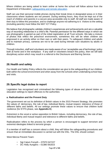Where children are being asked to learn online at home the school will follow advice from the Department of Education; [safeguarding and remote education.](https://www.gov.uk/guidance/safeguarding-and-remote-education-during-coronavirus-covid-19)

Staff can use their personal mobile phones during their break times in designated areas or in their classrooms where students are not present. During working hours, they must be kept out of the reach of children and parents in a secure area accessible only to staff. All staff are made aware of their duty to follow this procedure, and to challenge anyone not adhering to it. Visitors to the setting (including parents) must follow the MAT ICT Policy.

We believe that photographs validate children's experiences and achievements and are a valuable way of recording milestones in a child's life. Parental permission for the different ways in which we use photographs is gained as part of the initial registration at all Trust schools. We take a mixture of photos that reflect the preschool environment, sometimes this will be when children are engrossed in an activity either on their own or with their peers. To safeguard children and adults and to maintain privacy, cameras are not to be used during intimate care situations by adults or children.

Through induction, staff and volunteers are made aware of our 'acceptable use of technology' policy both at home and in the workplace. If any staff or volunteers breach this policy, then we will take disciplinary action which may result in a referral to the Disclosure and Barring Service.

## <span id="page-26-0"></span>**28.Health and safety**

Our Health and Safety Policy reflects the consideration we give to the safeguarding of our children both within the school environment and when away from the schools when undertaking school trips and visits.

## <span id="page-26-1"></span>**29.Specific legal duties to report**

Legislation has recognised and criminalised the following types of abuse and placed duties on education settings to report offences to the authorities:

#### **a. Radicalisation and the Prevent Duty**

The government set out its definition of British values in the 2015 Prevent Strategy; this promotes the values of: democracy, the rule of law, individual liberty, mutual respect, tolerance of those of different faiths and beliefs. All our settings promote these values to ensure that children build resilience (for EYFS phase, see **Appendix E**).

Extremism is the vocal or active opposition to British Values, including democracy, the rule of law, individual liberty and mutual respect and tolerance to different faiths and beliefs.

Radicalisation refers to the process by which a person is encouraged to support terrorism and extremist ideologies linked to terrorist groups.

If a member of staff has a concern about a child, they will follow the safeguarding procedures and ensure that an immediate discussion is carried out with the DSL. The DSL should contact:

West Mercia Prevent Team:

- Sgt Calum Forsyth 07970 047227
- $\cdot$  DC Holly Aungiers 01386 591815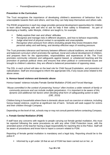• Prevent@westmercia.pnn.police.uk

## **Prevention in the Curriculum**

The Trust recognises the importance of developing children's awareness of behaviour that is unacceptable towards them and others, and how they can help keep themselves and others safe.

The RSHE programme in each key stage provides personal development opportunities for children to learn about keeping safe and who to ask for help if their safety is threatened. As part of developing a healthy, safer lifestyle, children are taught to, for example:

- Safely explore their own and others' attitudes.
- Recognise and manage risks in different situations, and how to behave responsibly.
- Judge what kind of physical contact is acceptable and unacceptable.
- Recognise when pressure from others (including people they know) threatens their personal safety and well-being, and develop effective ways of resisting pressure.

The Trust promotes tolerance and harmony between different cultural traditions; we teach a broad and balanced curriculum which promotes the spiritual, moral and cultural development of children, and prepares them for the opportunities, responsibilities and experiences of life. The Trust promotes community cohesion and safeguards against biased, or unbalanced teaching and the promotion of partisan political views and ensures that when political or controversial issues are brought to children's attention, they are offered a balanced presentation of opposing views.

The DSL in each school will take on the lead role for Child Sexual Exploitation, and prevention of radicalisation. Staff are encouraged to inform the appropriate DSL if any issues arise related to the above areas.

## **b. Honour-based violence and domestic abuse**

Honour-based' violence includes Female Genital Mutilation (FGM) and Forced Marriage.

*"Abuse committed in the context of preserving 'honour' often involves a wider network of family or community pressure and can include multiple perpetrators. It is important to be aware of this dynamic and additional risk factors when deciding what form of safeguarding action to take." (DfE, 2019)*

Children living in households where there is domestic abuse such as coercion or violence, including honour-based violence, could be at significant risk of harm. Schools will seek support for victims and their children through Compass.

Depending on the level of risk, schools may or may not consult parents before contacting Compass.

## **c. Female Genital Mutilation (FGM)**

If staff have any concerns with regards to people carrying out female genital mutilation, this must be reported following the same procedures as with any other Child Protection issue, with the amended action of the teacher having a legal responsibility for reporting this to the Police. Staff will be aware of procedures and know how to report a concern related to FGM.

Reporting of female genital mutilation is mandatory and a legal duty. Reporting should be to the police if:

■ Informed by a girl under 18 that an act of FGM has been carried out on her, or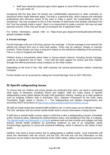■ Staff have observed physical signs which appear to show FGM has been carried out on a girl under 18.

Complying with the duty does not breach any confidentiality requirement or other restriction on disclosure which might otherwise apply. The duty is a personal duty, which requires the individual professional who becomes aware of the case to make a report; the responsibility cannot be transferred. The only exception to this is if the member of staff knows that another individual from the Trust has already made a report - there is no requirement to make a second. We may not seek parental consent, if this may put the girl at increased risk of significant harm.

For further information, please refer to: [https://www.gov.uk/government/publications/female](https://www.gov.uk/government/publications/female-genital-mutilation-leaflet)[genital-mutilation-leaflet](https://www.gov.uk/government/publications/female-genital-mutilation-leaflet)

## **d. Forced marriage**

Forced marriage is the act of forcing a person into marriage. A forced marriage is one entered into without full consent from one or even both parties. There may be violence, threats or coercion involved. These threats can have a long-term impact on the emotional wellbeing of the person(s). This is a crime in England and Wales.

Children living in households where there is honour-based violence, including forced marriage, could be at significant risk of harm. Trust staff will seek support for victims and their children through the referral processes using Compass as the initial contact.

Depending on the level of risk, DSL staff may/may not consult parents/carers before contacting Compass.

Further details can be accessed by calling the Forced Marriage Unit on 0207 008 0151.

## <span id="page-28-0"></span>**30.Specific safeguarding issues**

To ensure that our children and young people are protected from harm, we need to understand what types of behaviour constitute abuse and neglect. Staff are made aware of specific safeguarding issues (listed below) through child protection training, reading up to date guidance such as Keeping Children Safe in Education 2021, Statutory Framework for the Early Years Foundation Stage stated in Section 3 – The Safeguarding and Welfare Requirements and accessing SSCP procedures at<http://www.safeguardingshropshireschildren.org.uk/>

All staff are made aware that mental health problems can, in some cases, be an indicator of abuse. The DSL will liaise with the school mental health lead to ensure information is being shared.

If staff have a mental health concern about a child that is also a safeguarding concern, immediate action should be taken, following the child protection policy, and speaking to the DSL or a deputy. [The Mental Health and Behaviour in Schools](https://assets.publishing.service.gov.uk/government/uploads/system/uploads/attachment_data/file/755135/Mental_health_and_behaviour_in_schools__.pdf) guidance sets out how schools and colleges can help prevent mental health problems by promoting resilience as part of an integrated, whole school/college approach to social and emotional wellbeing, which is tailored to the needs of their pupils.

Children may need a social worker due to safeguarding or welfare needs. Local Authorities will share this information with the school, and the DSL will hold and use this information so that decisions can be made in the best interests of the child's safety, welfare and educational outcomes.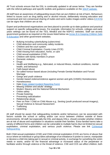All Trust schools ensure that the DSL is continually updated in all areas below. They are familiar with the referral pathways and specific toolkits and quidance available on the [SSCP website.](http://www.safeguardingshropshireschildren.org.uk/)

All staff have an awareness of safeguarding issues that can put children at risk of harm. Behaviours linked to issues such as drug taking and or alcohol misuse, deliberately missing education and consensual and non-consensual sharing of nudes and semi-nudes images and/or videos [\(UCKIS\)](https://www.gov.uk/government/publications/sharing-nudes-and-semi-nudes-advice-for-education-settings-working-with-children-and-young-people) can be signs that children are at risk.

Expert and professional organisations are best placed to provide up-to-date guidance and practical support on specific safeguarding issues. For example, information for schools, colleges and early years settings can be found on the TES, MindEd and the NSPCC websites. Staff can access government guidance as required on the issues listed below via [Annex B in Keeping Children Safe](https://assets.publishing.service.gov.uk/government/uploads/system/uploads/attachment_data/file/999348/Keeping_children_safe_in_education_2021.pdf)  [in Education](https://assets.publishing.service.gov.uk/government/uploads/system/uploads/attachment_data/file/999348/Keeping_children_safe_in_education_2021.pdf) and other government websites.

- Bullying including cyberbullying (cybercrime)
- Child abduction and community safety incidents
- Children and the court system
- Child Criminal Exploitation: County Lines (CCE)
- Child missing from education, home, or care
- Child sexual exploitation (CSE)
- **Children with family members in prison**
- Domestic violence
- Drugs
- Health and Wellbeing e.g., fabricated, or induced illness, medical conditions, mental health, and behaviour
- Faith-based abuse
- So-called honour-based abuse (including Female Genital Mutilation and Forced Marriage
- Gangs and youth violence
- Gender-based violence/violence against women and girls (VAWG) Homelessness
- Homelessness
- Hate [\(Hate related Incident Reporting Form\)](https://www.shropshirelg.net/services/safeguarding/schools-and-early-years/early-years-schools-safeguarding-policies-guidance/)
- Missing children and adults' strategy
- Modern Slavery and the National Referral Mechanism
- Online safety
- **•** Private fostering
- **•** Preventing radicalisation
- Relationship abuse
- Peer on Peer / Child on Child Abuse e.g., Sexting (youth produced sexual imagery), Sexual Violence & Sexual Harassment
- Trafficking
- Upskirting

All staff should be aware that safeguarding incidents and/or behaviours can be associated with factors outside the school or setting and/or can occur between children outside of these environments. All staff, but especially the DSL and deputy DSLs, should consider whether children are at risk of abuse and exploitation in situations outside their families. Extra-familial harms take a variety of different forms and children can be vulnerable to multiple harms (but not limited to) sexual exploitation, criminal exploitation, and serious youth violence. Please see link [Contextual](https://contextualsafeguarding.org.uk/)  [Safeguarding.](https://contextualsafeguarding.org.uk/)

Both Child sexual exploitation (CSE) and Child criminal exploitation (CCE) are forms of abuse that occur where an individual or group takes advantage of an imbalance in power to coerce, manipulate or deceive a child into taking part in sexual or criminal activity, in exchange for something the victim needs or wants, and/or for the financial advantage or increased status of the perpetrator or facilitator and/or through violence or the threat of violence. CSE and CCE can affect children, both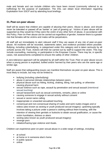male and female and can include children who have been moved (commonly referred to as trafficking) for the purpose of exploitation. The DSL can obtain local information regarding Exploitation from SSCP and by attending local briefings.

## <span id="page-30-0"></span>**31.Peer-on-peer abuse**

Staff will be aware that children are capable of abusing their peers. Abuse is abuse, and should never be tolerated or passed off as 'banter' or 'part of growing up'. Victims of peer abuse will be supported as they would be if they were the victim of any other form of abuse, in accordance with this Policy. Peer-on-Peer abuse can be carried out regardless of gender, however there is a greater risk that females will be victims and males will be perpetrators.

All staff will act immediately to alert relevant staff if they are aware of any risk of peer-on-peer abuse. All incidents will be recorded, statements taken, and evidence provided where possible. Bullying, including cyberbullying, is categorised under this category and is taken seriously by all schools across the Trust. Actions will then be carried out by staff to support the victim. This may include counselling, mentoring, or participation in the Empower Course. There may be, in specific cases, risk assessments completed to ensure the safety of other children.

A zero-tolerance approach will be adopted by all staff within the Trust. Peer on peer abuse occurs when a young person is exploited, bullied and/or harmed by their peers who are the same age or similar age.

Staff are aware that safeguarding issues can manifest themselves via peer-on-peer abuse. This is most likely to include, but may not be limited to:

- bullying (including cyberbullying)
- abuse in personal intimate relationships between peers
- physical abuse such as hitting, kicking, shaking, biting, hair pulling, or otherwise causing physical harm
- sexual violence such as rape, assault by penetration and sexual assault (intentional sexual touching)
- sexual harassment such as sexual comments, remarks, jokes or online
- causing someone to engage in sexual activity without consent
- sexual or sexist name calling
- inappropriate or unwanted sexualised touching
- consensual and non-consensual sharing of nudes and semi nudes images and or videos (also known as sexting or youth produced sexual imagery); upskirting typically involves taking a picture under a person's clothing without them knowing, with the intention of viewing their genitals or buttocks to obtain sexual gratification, or cause the victim humiliation, distress or alarm
- sexting (also known as youth produced sexual imagery)
- revenge porn
- initiation/hazing type violence and rituals.

Children can experience peer-on-peer sexual abuse in a wide range of settings, including:

- at school
- at home or in someone else's home
- in public spaces
- online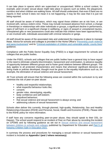It can take place in spaces which are supervised or unsupervised. Within a school context, for example, peer-on-peer sexual abuse might take place in spaces such as toilets, the playground, corridors and when children are walking home. All staff should understand, that even if there are no reports in their school it does not mean it is not happening, it may be the case that it is just not being reported.

All staff should be aware of indicators, which may signal those children are at risk from, or are involved with, serious violent crime. These may include increased absence from school, a change in friendships or relationships with older individuals or groups, a significant decline in performance, signs of self-harm or a significant change in wellbeing, or signs of assault or unexplained injuries. Unexplained gifts or new possessions could also indicate that children have been approached by, or are involved with, individuals associated with criminal networks or gangs.

All staff should be aware of the associated risks and understand the measures in place to manage these. Advice for schools and colleges is provided in the Home Office's ['Preventing youth violence](https://assets.publishing.service.gov.uk/government/uploads/system/uploads/attachment_data/file/418131/Preventing_youth_violence_and_gang_involvement_v3_March2015.pdf)  [and gang involvement'](https://assets.publishing.service.gov.uk/government/uploads/system/uploads/attachment_data/file/418131/Preventing_youth_violence_and_gang_involvement_v3_March2015.pdf) and its ['Criminal exploitation of children and vulnerable adults: county lines'](https://assets.publishing.service.gov.uk/government/uploads/system/uploads/attachment_data/file/863323/HOCountyLinesGuidance_-_Sept2018.pdf) guidance.

Compliance with the Public-Sector Equality Duty (PSED) is a legal requirement for schools and colleges that are public bodies.

Under the PSED, schools and colleges that are public bodies have a general duty to have regard to the need to eliminate unlawful discrimination, harassment and victimisation, to advance equality of opportunity between different groups and to foster good relations between different groups. The duty applies to all protected characteristics and means that whenever significant decisions are being made or policies developed, thought must be given to the equality implications such as, for example, the elimination of sexual violence and sexual harassment.

All Trust schools will ensure that the following areas are covered within the curriculum to try and minimise the risk of peer-on-peer abuse:

- healthy and respectful relationships;
- what respectful behaviour looks like;
- consent:
- **·** gender roles, stereotyping, equality;
- body confidence and self-esteem;
- **•** prejudiced behaviour;
- that sexual violence and sexual harassment is always wrong; and
- addressing cultures of sexual harassment.

Schools often deliver this currently, through planned, high-quality, Relationship, Sex and Healthy Relationships Education (RSHE) and Personal, Social, Health and Economic (PSHE). Please refer to the RSHE policy for more information.

If staff have any concerns regarding peer-on-peer abuse, they should speak to their DSL (or Deputy). The school would respond to an incident of Peer on Peer abuse by recording the incident on CPOMS and by following guidance as set out in Sexual violence and sexual harassment [between children in schools and colleges](https://assets.publishing.service.gov.uk/government/uploads/system/uploads/attachment_data/file/719902/Sexual_violence_and_sexual_harassment_between_children_in_schools_and_colleges.pdf) published by Department for Education and Part 5 of [Keeping Children Safe in Education 2021.](https://assets.publishing.service.gov.uk/government/uploads/system/uploads/attachment_data/file/999348/Keeping_children_safe_in_education_2021.pdf)

In summary the process and procedures for managing a sexual violence or sexual harassment incident is included as **Appendix I (and J where necessary)**.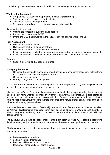The following measures have been actioned in all Trust settings throughout Autumn 2021:

## **Whole school approach:**

- Pre-planned risk assessment proforma in place (**Appendix K**)
- **Training for staff on how to report incidents**
- Training on how to manage reports
- Peer on peer workflow process in place (**Appendix I and J)**

#### **Responding to a report:**

- Victims are reassured, supported and kept safe
- Record the concern on CPOMS
- Inform the DSL if not involved in the initial report (as per Appendix I and J)

#### **Risk Assessment:**

- Risk assessment for victim
- Risk assessment for alleged perpetrator
- Risk assessment for all other children involved
- **EXEDENT Initial consideration of children sharing a classroom and/or having direct contact in school**
- Initial consideration of contact between children travelling to and from school

#### **Support**

■ Support for victim and alleged perpetrator

#### **Managing the report**

- Consider the options to manage the report, including manage internally, early help, referral to children's social care and report to police
- Consider bail conditions
- Manage delays in the criminal process

The school monitors whether there are any patterns of peer-on-peer abuse by recording on CPOMS and will determine necessary support and intervention.

It is vital that staff at all Trust schools understand that the child who is perpetrating the abuse may also be risk of harm. Staff should make every effort to ensure that the perpetrator is also treated as a victim and undertake assessments to conclude this. Sensitive work must be undertaken with the child who is perpetrating, by helping them to understand the nature of their behaviour and the effect it has on others may prevent abuse.

Staff must be able to use their professional judgement in identifying when what may be perceived as "normal developmental childhood behaviour" becomes abusive, dangerous, and harmful to others. Designated leads may need to consult with the SSCP Threshold document to help with their decision making.

The (Deputy) DSL(s) has attended Brook Traffic Light Training which will support in identifying developmentally typical behaviours or those that may be referred to as problematic or harmful.

Children do not always feel able to speak out about their experiences of peer-on-peer sexual abuse. They may be afraid of:

- being considered a 'snitch'
- getting in trouble themselves
- how they will be perceived by others
- teachers or other adults not being discrete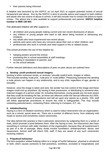■ their parents being informed

A helpline was launched by the NSPCC on 1st April 2021 to support potential victims of sexual harassment and abuse. Run by the NSPCC it aims to provide advice and support to both children and adults who are victims of abuse in school. It will also include how to contact the police to report crimes. The advice line is also available to support professionals and parents. **NSPCC helpline number is 0800 136 663**.

This dedicated helpline will offer support to:

- all children and young people making current and non-recent disclosures of abuse;
- any children or young people who want to talk about being involved or witnessing any incidents;
- any adults who have experienced non-recent abuse;
- parents and carers who have any concerns about their own or other children; and
- professionals who work in schools and need support in this or related issues.

This school promotes the use of this helpline by;

- hanging posters around the school;
- **•** promoting this in school assemblies & staff meetings;
- **.** including in newsletters to parents; and
- on the school website.

Further relevant definitions and descriptions of peer-on-peer abuse are outlined here:

## <span id="page-33-0"></span>**a. Sexting: youth produced sexual imagery**

Sexting is when someone sends, or receives, sexually explicit texts, images or videos. This includes sending 'nude pics', 'rude pics' or 'nude selfies'. Pressuring someone into sending a nude picture can happen in any relationship, and to any child, regardless of age, gender or sexuality.

However, once the image is taken and sent, the sender has lost control of the image and these images could end up anywhere. By having in their possession, or distributing to someone else, indecent images of a person under 18, including themselves, young people are not even aware that they could be breaking the law, as these are offences under the Sexual Offences Act 2003. All school staff are aware of procedures and will act upon any reports as a priority. DSL staff will follow appropriate procedures to ensure the child is safeguarded. This may include contacting parents/carers, contacting Police, referring to Compass, ICT, etc.

#### <span id="page-33-1"></span>**b. Initiation/hazing**

Hazing is a form of initiation ceremony which is used to induct newcomers into an organisation, such as a school, sports team etc. There are a number of different forms, from relatively mild rituals to severe and sometimes violent ceremonies.

The idea behind this practice is that it welcomes newcomers by subjecting them to a series of trials, which promote a bond between them. After the hazing is over, the newcomers also have something in common with older members of the organisation, because they all experienced it as part of a rite of passage. Many rituals involve humiliation, embarrassment, abuse, and harassment. School staff will inform DSL staff, if they are aware of any such ceremonies involving children.

#### <span id="page-33-2"></span>**c. Prejudiced behaviour**

The term prejudice related bullying refers to a range of hurtful behaviour, physical or emotional or both, which causes someone to feel powerless, worthless, excluded or marginalised, and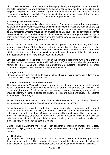which is connected with prejudices around belonging, identity and equality in wider society; in particular, prejudices to do with disabilities and special educational needs, ethnic, cultural and religious backgrounds, gender, home life (for example, in relation to issues of care, parental occupation, poverty and social class) and sexual identity (homosexual, bisexual, transsexual). Any concerns will be reported to DSL staff, and appropriate action taken.

## <span id="page-34-0"></span>**d. Teenage relationship abuse**

Teenage relationship abuse is defined as a pattern of actual or threatened acts of physical, sexual, and/or emotional abuse, perpetrated by an adolescent (between the ages of 13 and 18) against a current or former partner. Abuse may include insults, coercion, social sabotage, sexual harassment, threats and/or acts of physical or sexual abuse. The abusive teen uses this pattern of violent and coercive behaviour, in a heterosexual or same gender relationship, in order to gain power and maintain control over the partner. Any disclosures or concerns will be referred to DSL staff and appropriate action taken.

Staff across the Trust understand that any child who is perpetrating the abuse may themselves also be at risk of harm. Staff make every effort to ensure that the alleged perpetrator is also treated as a victim and undertake relevant assessments. Sensitive work must be undertaken with the child who is perpetrating; helping them to understand the nature of their behaviour, and the effect it has on others, may prevent abuse as a whole.

Staff are encouraged to use their professional judgement in identifying when what may be perceived as 'normal developmental childhood behaviour' becomes abusive, dangerous, and harmful to others. DSLs will consult the Shropshire Safeguarding Partnership Threshold document to help with their decision making, where necessary.

## **e. Physical abuse**

Physical abuse includes any of the following: hitting, shaking, kicking, biting, hair pulling or any other action, which leads to physical harm.

## **f. Sexual violence and sexual harassment**

All schools across the Trust will respond appropriately to all incidents of sexual violence and sexual harassment, which can occur between two children of any age and sex. This can also occur through a group of children sexually assaulting or sexually harassing a single child or group of children. All schools across the Trust will not tolerate such behaviours, or accept that it forms a part of growing up.

Sexual violence is the unwanted conduct of a sexual nature that can occur online or offline and includes actions such as rape, assault by penetration and sexual assault.

Sexual harassment is unwanted conduct of a sexual nature, which can be seen in the form of sexual comments, remarks and jokes, both off and online. This may be a stand-alone incident, or form part of a pattern of abuse. Sexual harassment is likely to violate a child's dignity, make them feel intimidated, degraded or humiliated. Sexual harassment may include physical behaviours that include touching a child's clothes or brushing past a child to intentionally touch them; this may also be seen as sexual violence.

Online sexual harassment may include: non-consensual sharing of images and videos, sexualised bullying, unwanted sexual messages and comments, and exploitation, coercion and threats.

## **g. Upskirting**

Upskirting involves taking a picture under a person's clothing, without their knowledge, to view their genitals or buttocks. This is a criminal offence and will be taken seriously by all school staff. Actions will be carried out to support victims and to sanction those guilty of upskirting.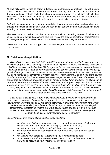All staff will access training as part of induction, update training and briefings. This will include sexual violence and sexual harassment awareness training. Staff are also made aware that there are particular cohorts of children who are potentially more at risk, including girls, children with SEND, and the LGBT community. All reports are taken seriously and will be reported to the DSL or Deputy, immediately, to safeguard the alleged victim and other children.

Staff will challenge behaviours that are potentially criminal in nature such as grabbing bottoms, breasts or genitals, or lifting skirts. Staff will act on such behaviours and put sanctions in place following reports of these behaviours.

Risk assessments in schools will be carried out on children, following reports of incidents of sexual violence or sexual harassment. This will involve the alleged perpetrator, parents/carers and safeguarding staff, unless this will place the student at risk of significant harm.

Action will be carried out to support victims and alleged perpetrators of sexual violence or harassment.

# <span id="page-35-0"></span>**32.Child sexual exploitation**

*'All staff will be aware that both CSE and CCE are forms of abuse and both occur where an individual or group takes advantage of an imbalance in power to coerce, manipulate or deceive a child into sexual or criminal activity. Whilst age may be the most obvious, this power imbalance can also be due to a range of other factors including gender, sexual identity, cognitive ability, physical strength, status, and access to economic or other resources. In some cases, the abuse will be in exchange for something the victim needs or wants and/or will be to the financial benefit or other advantage (such as increased status) of the perpetrator or facilitator. The abuse can be perpetrated by individuals or groups, males or females, and children or adults. The abuse can be a one-off occurrence or a series of incidents over time, and range from opportunistic to complex organised abuse. It can involve force and/or enticement-based methods of compliance and may, or may not, be accompanied by violence or threats of violence. Victims can be exploited even when activity appears consensual and it should be noted exploitation as well as being physical can be facilitated and/or take place online'.* KCSIE, 2021

"*Child sexual exploitation is a form of child sexual abuse. It occurs where an individual or group takes advantage of an imbalance of power to coerce, manipulate or deceive a child or young person under the age of 18 into sexual activity (a) in exchange for something the victim needs or wants, and/or (b) for the financial advantage or increased status of the alleged perpetrator or facilitator. The victim may have been sexually exploited even if the sexual activity appears consensual. Child sexual exploitation does not always involve physical contact; it can also occur through the use of technology*.

*Like all forms of child sexual abuse, child sexual exploitation:* 

- can affect any child or young person (male or female) under the age of 18 years, *including 16 and 17 year olds who can legally consent to have sex;*
- *can still be abuse even if the sexual activity appears consensual;*
- can include both contact (penetrative and non-penetrative acts) and non-contact *sexual activity;*
- *can take place in person or via technology, or a combination of both;*
- can involve force and/or enticement-based methods of compliance and may, or *may not, be accompanied by violence or threats of violence;*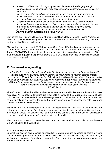- *may occur without the child or young person's immediate knowledge (through others copying videos or images they have created and posting on social media, for example);*
- can be perpetrated by individuals or groups, males or females, and children or *adults. The abuse can be a one-off occurrence or a series of incidents over time, and range from opportunistic to complex organised abuse; and*
- is typified by some form of power imbalance in favour of those perpetrating the *abuse. Whilst age may be the most obvious, this power imbalance can also be due to a range of other factors including gender, sexual identity, cognitive ability, physical strength, status, and access to economic or other resources."* **DfE Child Sexual Exploitation, February 2017**

Staff across the Trust will all be aware of Child Sexual Exploitation, through Raising Awareness Level 1 Child Protection training and as such will be aware of procedures for reporting concerns related to Child Sexual Exploitation.

DSL staff will have accessed SSCB training on Child Sexual Exploitation, or similar, and know how to refer. All referrals made will be with the consent of parents/carers where possible, through SSCB CSE referral systems, alongside any agencies involved where appropriate. DSL staff or a level 2 qualified Deputy will attend SSCB CSE panel meetings to discuss individual cases where appropriate.

# <span id="page-36-0"></span>**33.Contextual safeguarding**

*'All staff will be aware that safeguarding incidents and/or behaviours can be associated with factors outside the school or college and/or can occur between children outside of these environments. All staff, but especially the DSL/ Deputies will consider whether children are at risk of abuse or exploitation in situations outside their families. Extra-familial harms take a variety of different forms and children can be vulnerable to multiple harms including (but not limited to) sexual exploitation, criminal exploitation, and serious youth violence'.* KCSIE, 2021

All staff must consider the wider environmental factors in a child's life and the impact that these may have. All referrals made will include wider details related to the environmental factors of each child involved. Schools and educational settings need to consider the location and culture of their school or college and assess the risks that young people may be exposed to, both inside and outside, of the school community.

The contextual safeguarding approach that all settings across the Trust take, would recognise that children and young people's risk of experiencing significant harm in extra-familial contexts is increased at times. All settings seek to include these contexts within prevention, identification, assessment and intervention safeguarding activities for children.

The current risks across Shropshire are linked to County Lines and Criminal Exploitation, Organised Crime and Cuckooing.

## **a. Criminal exploitation**

Criminal Exploitation occurs where an individual or group attempts to coerce or control a young person and engage them with, or in, criminal activity. This is usually in exchange for something, or for financial advantage of the alleged perpetrator. This can at times involve physical violence and threats towards the victim.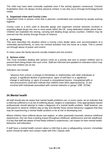The child may have been criminally exploited even if the activity appears consensual. Criminal Exploitation does not always involve physical contact; it can also occur through technology/social media.

## **b. Organised crime and County Lines**

Organised Crime is serious crime that is planned, coordinated and conducted by people working together.

County Lines is a term used to describe gangs and organised criminal networks involved in exporting illegal drugs into one or more areas within the UK, using dedicated mobile phone lines. Children are exploited into storing, carrying and dealing drugs across counties. Children may be coerced into this activity through threats of violence.

#### **c. Cuckooing**

This term describes the situation where a County Lines dealer takes over accommodation of a vulnerable person/family, to carry out criminal activities from the home as a base. This is carried out through abuse of power and control.

In many cases the family become socially isolated and risk eviction.

#### **d. Serious crime**

The Trust considers dealing with serious crime as a priority and acts to protect children and to prevent them being drawn into such crime. Staff are informed and updated on indicators which may show that children are at risk.

Indicators can include:

*"absence from school, a change in friendships or relationships with older individuals or groups, a significant decline in performance, signs of self-harm or a significant change in well-being, or signs of assault or unexplained injuries. Unexplained gifts or new possessions could also indicate that children have been approached by, or are involved with individuals associated with criminal networks or gangs" (DfE, 2019a)*

## <span id="page-37-0"></span>**34.Mental health**

All staff should also be aware that mental health problems can, in some cases, be an indicator that a child has suffered or is at risk of suffering abuse, neglect or exploitation. Only appropriately trained professionals should attempt to make a diagnosis of a mental health problem. Staff however, are well placed to observe children day-to-day and identify those whose behaviour suggests that they may be experiencing a mental health problem or be at risk of developing one.

Where children have suffered abuse and neglect, or other potentially traumatic adverse childhood experiences, this can have a lasting impact throughout childhood, adolescence and into adulthood. It is key that staff are aware of how these children's experiences, can impact on their mental health, behaviour and education.

If staff have a mental health concern about a child that is also a safeguarding concern, immediate action should be taken and contact made with DSL/ Deputy staff.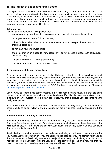# <span id="page-38-0"></span>**35.The impact of abuse and taking action**

The impact of child abuse should not be underestimated. Many children do recover well and go on to lead healthy, happy, and productive lives, although most adult survivors agree that the emotional scars remain, however well buried. For some children, full recovery is beyond their reach, and the rest of their childhood and their adulthood may be characterised by anxiety or depression, selfharm, eating disorders, alcohol and substance misuse, unequal and destructive relationships and long-term medical or psychiatric difficulties.

## **Taking action**

Key points to remember for taking action are:

- in an emergency take the action necessary to help the child, for example, call 999
- report your concern to the DSL immediately
- If the DSL is not able to be contacted ensure action is taken to report the concern to children's social care
- do not start your own investigation
- share information on a need-to-know basis only do not discuss the issue with colleagues, friends or family
- complete a record of concern (Appendix F)
- seek support for yourself if you are distressed.

## **If you suspect a child is at risk of harm**

There will be occasions when you suspect that a child may be at serious risk, but you have no 'real' evidence. The child's behaviour may have changed, or you may have noticed other physical but inconclusive signs. In these circumstances, you should try to give the child the opportunity to talk. The signs you have noticed may be due to a variety of factors and it is fine to ask the child if they are alright or if you can help in any way. All D/DSL(s) have been made aware of the Shropshire [Children Reporting Concern guidance.](http://www.shropshirelg.net/services/safeguarding/schools-and-early-years/early-years-schools-safeguarding-policies-guidance/)

Use CPOMS to record these early concerns. If the child does begin to reveal that they are being harmed, you should follow the advice in the section below 'If a child discloses information to you'. If, following your conversation, you remain concerned, you should discuss your concerns with the designated person.

If staff have a mental health concern about a child that is also a safeguarding concern, immediate action should be taken, following the procedures set out in this policy and by speaking with the DSL.

#### **If a child tells you that they've been abused**

It takes a lot of courage for a child to tell someone that they are being neglected and or abused. They may feel ashamed, particularly if the abuse is sexual, their abuser may have threatened what will happen if they tell, they may have lost all trust in adults, or they may believe, or have been told, that the abuse is their own fault.

If a child talks to you about any risks to their safety or wellbeing you will need to let them know that you must pass the information on – you are not allowed to keep secrets. The point at which you do this is a matter for professional judgement. If interject immediately, the child may think that you do not want to listen, if you leave it till the very end of the conversation, the child may feel that you have misled them into revealing more than they would have otherwise.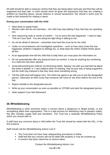All staff should be able to reassure victims that they are being taken seriously and that they will be supported and kept safe. A victim should never be given the impression that they are creating a problem by reporting abuse, sexual violence or sexual harassment. Nor should a victim ever be made to feel ashamed for making a report.

## **During your conversation with the child**

- Allow them to speak freely.
- Remain calm and do not overreact the child may stop talking if they feel they are upsetting you.
- Give reassuring nods or words of comfort  $-$  'I'm so sorry this has happened', 'I want to help', 'This isn't your fault', 'You are doing the right thing in talking to me'.
- Do not be afraid of silences remember how hard this must be for the child.
- Under no circumstances ask investigative questions  $-$  such as how many times this has happened, whether it happens to siblings too, or what does the child's mother thinks about all this.
- At an appropriate time tell the child that to help them you must pass the information on.
- Do not automatically offer any physical touch as comfort. It may be anything but comforting to a child who has been abused.
- Avoid admonishing the child for not disclosing earlier. Saying 'I do wish you had told me about this when it started' or 'I can't believe what I'm hearing' may be your way of being supportive but the child may interpret it that they have done something wrong.
- Tell the child what will happen next. The child may agree to go with you to see the designated person. Otherwise let them know that someone will come to see them before the end of the day.
- Report verbally to the designated person.
- Write up your conversation as soon as possible on CPOMS and alert the designated person.
- Seek support if you feel distressed.

# <span id="page-39-0"></span>**36.Whistleblowing**

Whistleblowing is when someone raises a concern about a dangerous or illegal activity, or any wrongdoing within their organisation. This is a vital process for identifying risks to people's safety, this also includes supply staff and volunteers. The Trust has a separate Whistleblowing Policy which you should refer to.

If staff have any concerns about a child within the Trust this should be raised with the DSL, in the first instance.

Staff should call the Whistleblowing Advice Line if:

- The Trust does not have clear safeguarding procedures to follow.
- Staff feel that any concern will not be dealt with properly or may be covered-up.
- A concern has been raised but no actions taken.

Contact the Whistleblowing Advice Line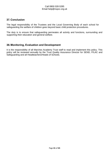## Call 0800 028 0285 Email help@nspcc.org.uk

## <span id="page-40-0"></span>**37.Conclusion**

The legal responsibility of the Trustees and the Local Governing Body of each school for safeguarding the welfare of children goes beyond basic child protection procedures.

The duty is to ensure that safeguarding permeates all activity and functions, surrounding and supporting their education and general welfare.

# <span id="page-40-1"></span>**38.Monitoring, Evaluation and Development**

It is the responsibility of all Marches Academy Trust staff to read and implement this policy. This policy will be reviewed annually by the Trust Quality Assurance Director for SEND, P/LAC and Safeguarding and all Headteachers/Heads of Schools.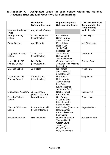# <span id="page-41-0"></span>**39.Appendix A - Designated Leads for each school within the Marches Academy Trust and Link Governors for Safeguarding**

|                                         | <b>Designated</b><br><b>Safeguarding Lead</b> | <b>Deputy Designated</b><br><b>Safeguarding Leads</b>                                                                          | <b>Link Governor with</b><br><b>Responsibility for</b><br><b>Safeguarding</b> |
|-----------------------------------------|-----------------------------------------------|--------------------------------------------------------------------------------------------------------------------------------|-------------------------------------------------------------------------------|
| <b>Marches Academy</b><br><b>Trust</b>  | Amy Chevin-Dooley                             |                                                                                                                                | Mark Liquorish                                                                |
| <b>Grange Primary</b><br>School         | <b>Charlie Summers</b><br>(Headteacher)       | <b>Bev Williams</b><br><b>Sarah Perrins</b><br><b>Steph Davies</b>                                                             | <b>Claire Bilgic</b>                                                          |
| Grove School                            | Amy Roberts                                   | Katie Arbon<br>Rachel Lee<br>Sonia Taylor<br>(Headteacher)                                                                     | <b>Ash Silverstone</b>                                                        |
| <b>Longlands Primary</b><br>School      | <b>Zillah Cope</b><br>(Headteacher)           | <b>Sarah Morris</b><br><b>Sue Winfield</b><br><b>Jessica Mitchell</b>                                                          | <b>Linda Scott</b>                                                            |
| Lower Heath CE<br><b>Primary School</b> | Deb Sadler<br>(Headteacher)                   | <b>Charlotte Williams</b><br><b>Jonathan Holt-Williams</b><br>Leah Vigon                                                       | <b>Barbara Bate</b>                                                           |
| <b>Marches School</b>                   | Jo Phillips                                   | Sali James<br><b>Alison Pearson</b><br>(Headteacher)                                                                           | <b>Vince Hunt</b>                                                             |
| Oakmeadow CE<br><b>Primary School</b>   | Samantha Hill<br>(Headteacher)                | May Severn<br><b>Helen Morris</b><br>Jasmin Taylor<br><b>Lisa Oliver</b><br><b>Elaine Fletcher</b><br>Samantha Frost           | <b>Gary Felton</b>                                                            |
| <b>Shrewsbury Academy</b>               | Julie Johnson<br>(Head of School)             | <b>Rachel Powell</b><br><b>Lucy Howells</b>                                                                                    | Ryan Jervis                                                                   |
| Sir John Talbot's<br>School             | Laura Richmond                                | <b>Sue Pearce</b><br>Susanne King<br>Michelle Welch<br><b>Sarah Newey</b>                                                      | Dawn Lewis                                                                    |
| <b>Tilstock CE Primary</b><br>School    | Rowena Kaminski<br>(Head of School)           | Deb Sadler (Executive<br>Headteacher)<br>Karen Blakemore<br>Leah Vigon                                                         | Peggy Mullock                                                                 |
| <b>Woodlands School</b>                 | Niki McGarvey                                 | <b>Rachel Butterfield</b><br>Victoria Hitchin<br><b>Gareth Lewis</b><br>Julia Taylor<br><b>Glyn Thomas</b><br>Holly Wainwright | <b>Ash Silverstone</b>                                                        |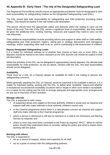# <span id="page-42-0"></span>**40.Appendix B - Early Years - The role of the Designated Safeguarding Lead**

The Registered Person/Body should ensure an appropriate practitioner must be designated to take lead responsibility for safeguarding children as the Designated Safeguarding Lead (DSL).

The DSL should take lead responsibility for safeguarding and child protection (including online safety). This should be explicit in the role holder's job description.

This person should have the appropriate status and authority within the setting to carry out the duties of the post. The role of the DSL carries a significant level of responsibility, and they should be given the additional time, funding, training, resources and support they need to carry out the role effectively.

Their additional responsibilities include providing advice and support to other staff on child welfare, safeguarding and child protection matters, taking part in strategy discussions and interagency meetings, and/or supporting other staff to do so, and to contributing to the assessment of children.

## **Deputy Designated Safeguarding Leads**

It is a matter for individual settings as to whether they choose to have one or more DSLs. Any deputies should be trained to the same standard as the DSL and the role should be explicit in their job description.

Whilst the activities of the DSL can be delegated to appropriately trained deputies, the ultimate lead responsibility for child protection, as set out above, remains with the DSL, this lead responsibility should not be delegated.

## **Availability**

There must be a DSL (or a Deputy) always be available for staff in the setting to discuss any safeguarding concerns.

Whilst generally speaking the DSL (or Deputy) would be expected to be available in person, it is a matter for individual setting, working with the DSL, to define what "available" means and whether in exceptional circumstances availability via phone and or Skype or other such media is acceptable. It is a matter for the setting and the DSL to arrange adequate and appropriate cover arrangements for any out of hours/out of term activities.

## **Manage referrals**

The DSL is expected to refer cases:

- of suspected abuse and neglect to the local authority children's social care as required and support staff who make referrals to local authority children's social care;
- to the Channel programme where there is a radicalisation concern as required and support staff who make referrals to the Channel programme;
- where a person is dismissed or left due to risk/harm to a child to the Disclosure and Barring Service as required; and
- where a crime may have been committed to the Police as required. NPCC When to call the police should help understand when to consider calling the police and what to expect when working with the police.

#### **Working with others**

The DSL is expected to:

- act as a source of support, advice and expertise for all staff;
- act as a point of contact with the safeguarding partners;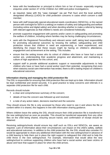- liaise with the headteacher or principal to inform him or her of issues- especially ongoing enquiries under section 47 of the Children Act 1989 and police investigations;
- as required, liaise with the "case manager" (as per Part four) and the local authority designated officer(s) (LADO) for child protection concerns in cases which concern a staff member;
- liaise with staff (especially special educational needs coordinators (SENCOs), or the named person with oversight for SEN in a setting) on matters of safety and safeguarding and welfare (including online and digital safety) and when deciding whether to make a referral by liaising with relevant agencies so that children's needs are considered holistically;
- promote supportive engagement with parents and/or carers in safeguarding and promoting the welfare of children, including where families may be facing challenging circumstances;
- work with the Registered Person/Body and relevant senior staff, taking lead responsibility for promoting educational outcomes by knowing the welfare, safeguarding and child protection issues that children in need are experiencing, or have experienced, and identifying the impact that these issues might be having on children's attendance, engagement and achievement at the setting. This includes:
- ensure that the setting knows who its cohort of children who have or have had a social worker are, understanding their academic progress and attainment, and maintaining a culture of high aspirations for this cohort; and,
- support staff to provide additional academic support or reasonable adjustments to help children who have or have had a social worker reach their potential, recognising that even when statutory social care intervention has ended, there is still a lasting impact on children's educational outcomes.

#### **Information sharing and managing the child protection file**

The DSL is responsible for ensuring that child protection files are kept up to date. Information should be kept confidential and stored securely. It is good practice to keep concerns and referrals in a separate child protection file for each child.

Records should include:

- a clear and comprehensive summary of the concern;
- details of how the concern was followed up and resolved;
- a note of any action taken, decisions reached and the outcome.

They should ensure the file is only accessed by those who need to see it and where the file or content within it is shared, this happens in line with information sharing guidance.

Where children leave the setting the DSL should ensure their child protection file is transferred to the new setting/school as soon as possible. This should be transferred separately from any other files on the child being shared, ensuring secure transit, and confirmation of receipt should be obtained.

Receiving settings/schools should ensure key staff such as DSLs and SENCOs, are aware as required. Lack of information about their circumstances can impact on the child's safety, welfare and educational outcomes. In addition to the child protection file, the DSL should also consider if it would be appropriate to share any additional information with the new setting/school in advance of a child leaving to help them put in place the right support to safeguard this child and to help the child thrive in the next setting/school. For example, information that would allow the new setting/school to continue supporting children who have had a social worker and been victims of abuse and have that support in place for when the child arrives.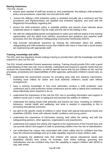#### **Raising Awareness**

The DSL should:

- ensure each member of staff has access to, and understands, the setting's child protection policy and procedures, especially new and part-time staff;
- ensure the setting's child protection policy is reviewed annually (as a minimum) and the procedures and implementation are updated and reviewed regularly, and work with the Registered Person/Body regarding this;
- ensure the child protection policy is available publicly and parents know referrals about suspected abuse or neglect may be made and the role of the setting in this:
- link with the safeguarding partner arrangements to make sure staff are aware of any training opportunities and the latest local policies, procedures and guidance and required audit processes from the Shropshire Safeguarding Community Partnership (SSCP).
- help promote educational outcomes by sharing the information about the welfare, safeguarding and child protection issues that children who have or have had a social worker are experiencing with appropriate staff.

## **Training, knowledge and skills**

The DSL (and any deputies) should undergo training to provide them with the knowledge and skills required to carry out the role.

The DSL should undertake Prevent awareness training. Training should provide DSLs with a good understanding of their own role, how to identify, understand and respond to specific needs that can increase the vulnerability of children, as well as specific harms that can put children at risk, and the processes, procedures and responsibilities of other agencies, particularly children's social care, so they:

- understand the assessment process for providing early help and statutory intervention, including local criteria for action and local authority children's social care referral arrangements;
- have a working knowledge of how local authorities conduct a child protection case conference and a child protection review conference and be able to attend and contribute to these effectively when required to do so;
- understand the importance of the role the DSL has in providing information and support to children social care in order to safeguard and promote the welfare of children;
- understand the lasting impact that adversity and trauma can have, including on children's behaviour, mental health and wellbeing, and what is needed in responding to this in promoting educational outcomes;
- are alert to the specific needs of children in need, those with special educational needs and disabilities (SEND), those with relevant health conditions and young carers;
- understand the importance of information sharing, both within the setting, and with the safeguarding partners, other agencies, organisations and practitioners;
- understand and support the setting with regards to the requirements of the Prevent duty and can provide advice and support to staff on protecting children from the risk of radicalisation;
- can understand the unique risks associated with online safety and be confident that they have the relevant knowledge and up to date capability required to keep children safe;
- can recognise the additional risks that children with special educational needs and disabilities (SEND) face online, for example, from online bullying, grooming and radicalisation and are confident they have the capability to support children with SEND to stay safe online;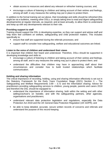- obtain access to resources and attend any relevant or refresher training courses; and,
- encourage a culture of listening to children and taking account of their wishes and feelings, among all staff, in any measures the setting may put in place to protect them.

In addition to the formal training set out above, their knowledge and skills should be refreshed (this might be via e-bulletins, meeting other DSLs, or simply taking time to read and digest safeguarding developments) at regular intervals, as required, and at least annually, to allow them to understand and keep up with any developments relevant to their role.

#### **Providing support to staff**

Training should support the DSL in developing expertise, so they can support and advise staff and help them feel confident on welfare, safeguarding and child protection matters. This includes specifically to:

- ensure that staff are supported during the referrals processes; and
- support staff to consider how safeguarding, welfare and educational outcomes are linked.

## **Listen to the voice of children and understand their views**

It is important that children feel heard and understood. Therefore, DSLs should be supported in developing knowledge and skills to:

- encourage a culture of listening to children and taking account of their wishes and feelings, among all staff, and in any measures the setting may put in place to protect them; and
- understand the difficulties that children may have in approaching staff about their circumstances and consider how to build trusted relationships which facilitate communication.

#### **Holding and sharing information**

The critical importance of recording, holding, using and sharing information effectively is set out in the Statutory Framework for the Early Years Foundation Stage (2021) Section 3 – The Safeguarding and Welfare Requirements 3.69 – 3.72 and the Information sharing: Advice for practitioners providing safeguarding services to children, young people, parents and carers 2018 and therefore the DSL should be equipped to:

- understand the importance of information sharing, both within the setting and with other setting's/school's on transfer, and with the safeguarding partners, other agencies, organisations and practitioners;
- understand relevant data protection legislation and regulations, especially the Data Protection Act 2018 and the UK General Data Protection Regulation (UK GDPR); and
- be able to keep detailed, accurate, secure written records of concerns and referrals and understand the purpose of this record-keeping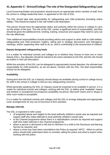# <span id="page-46-0"></span>**41.Appendix C - School/College The role of the Designated Safeguarding Lead**

Local Governing Bodies and proprietors should ensure an appropriate senior member of staff, from the school or college leadership team, is appointed to the role of DSL.

The DSL should take lead responsibility for safeguarding and child protection (including online safety). This should be explicit in the role holder's job description.

This person should have the appropriate status and authority within the school or college to carry out the duties of the post. The role of the DSL carries a significant level of responsibility, and they should be given the additional time, funding, training, resources and support they need to carry out the role effectively.

Their additional responsibilities include providing advice and support to other staff on child welfare, safeguarding and child protection matters, taking part in strategy discussions and interagency meetings, and/or supporting other staff to do so, and to contributing to the assessment of children.

## **Deputy designated safeguarding leads**

It is a matter for individual schools and colleges as to whether they choose to have one or more Deputy DSLs. Any deputies should be trained to the same standard as the DSL and the role should be explicit in their job description.

Whilst the activities of the DSL can be delegated to appropriately trained deputies, the ultimate lead responsibility for child protection, as set out above, remains with the DSL, this lead responsibility should not be delegated.

## **Availability**

During term time the DSL (or a Deputy) should always be available (during school or college hours) for staff in the school or college to discuss any safeguarding concerns.

Whilst generally speaking the DSL (or Deputy) would be expected to be available in person, it is a matter for individual schools and colleges, working with the DSL, to define what "available" means and whether in exceptional circumstances availability via phone, Microsoft Teams and or Skype or other such media is acceptable.

It is a matter for individual schools and colleges and the DSL to arrange adequate and appropriate cover arrangements for any out of hours/out of term activities.

#### **Manage referrals**

The DSL is expected to refer cases:

- of suspected abuse and neglect to the local authority children's social care as required and support staff who make referrals to local authority children's social care;
- to the Channel programme where there is a radicalisation concern as required and support staff who make referrals to the Channel programme;
- where a person is dismissed or left due to risk/harm to a child to the Disclosure and Barring Service as required; and
- where a crime may have been committed to the Police as required. NPCC When to call the police should help understand when to consider calling the police and what to expect when working with the police.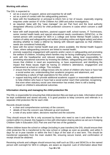## **Working with others**

The DSL is expected to:

- act as a source of support, advice and expertise for all staff:
- act as a point of contact with the safeguarding partners;
- **EXEDEE II** liaise with the headteacher or principal to inform him or her of issues- especially ongoing enquiries under section 47 of the Children Act 1989 and police investigations;
- **E** as required, liaise with the "case manager" (as per Part four) and the local authority designated officer(s) (LADO) for child protection concerns in cases which concern a staff member;
- liaise with staff (especially teachers, pastoral support staff, school nurses, IT Technicians, senior mental health leads and special educational needs coordinators (SENCOs), or the named person with oversight for SEN in a college and Senior Mental Health Leads) on matters of safety and safeguarding and welfare (including online and digital safety) and when deciding whether to make a referral by liaising with relevant agencies so that children's needs are considered holistically;
- liaise with the senior mental health lead and, where available, the Mental Health Support Team, where safeguarding concerns are linked to mental health;
- promote supportive engagement with parents and/or carers in safeguarding and promoting the welfare of children, including where families may be facing challenging circumstances;
- work with the headteacher and relevant strategic leads, taking lead responsibility for promoting educational outcomes by knowing the welfare, safeguarding and child protection issues that children in need are experiencing, or have experienced, and identifying the impact that these issues might be having on children's attendance, engagement and achievement at school or college. This includes:
	- ➢ ensure that the school or college knows who its cohort of children who have or have had a social worker are, understanding their academic progress and attainment, and maintaining a culture of high aspirations for this cohort; and,
	- ➢ support teaching staff to provide additional academic support or reasonable adjustments to help children who have or have had a social worker reach their potential, recognising that even when statutory social care intervention has ended, there is still a lasting impact on children's educational outcomes.

## **Information sharing and managing the child protection file**

The DSL is responsible for ensuring that child protection files are kept up to date. Information should be kept confidential and stored securely. It is good practice to keep concerns and referrals in a separate child protection file for each child.

Records should include:

- a clear and comprehensive summary of the concern;
- details of how the concern was followed up and resolved;
- a note of any action taken, decisions reached and the outcome.

They should ensure the file is only accessed by those who need to see it and where the file or content within it is shared, this happens in line with information sharing advice as set out in Keeping Children Safe in Education 2021 Part one and Part two of the guidance.

Where children leave the school or college (including in year transfers) the DSL should ensure their child protection file is transferred to the new school or college as soon as possible, and within 5 days for an in-year transfer or within the first 5 days of the start of a new term. This should be transferred separately from the main student file, ensuring secure transit, and confirmation of receipt should be obtained.

Receiving schools and colleges should ensure key staff such as DSLs and SENCOs or the named person with oversight for SEN in colleges, are aware as required. Lack of information about their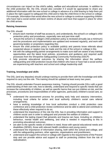circumstances can impact on the child's safety, welfare and educational outcomes. In addition to the child protection file, the DSL should also consider if it would be appropriate to share any additional information with the new school or college in advance of a child leaving to help them put in place the right support to safeguard this child and to help the child thrive in the school or college. For example, information that would allow the new school or college to continue supporting children who have had a social worker and been victims of abuse and have that support in place for when the child arrives.

## **Raising Awareness**

The DSL should:

- ensure each member of staff has access to, and understands, the school's or college's child protection policy and procedures, especially new and part-time staff;
- ensure the school's or college's child protection policy is reviewed annually (as a minimum) and the procedures and implementation are updated and reviewed regularly, and work with governing bodies or proprietors regarding this;
- ensure the child protection policy is available publicly and parents know referrals about suspected abuse or neglect may be made and the role of the school or college in this
- link with the safeguarding partner arrangements to make sure staff are aware of any training opportunities and the latest local policies, procedures and guidance and required audit processes from the Shropshire Safeguarding Community Partnership (SSCP)
- help promote educational outcomes by sharing the information about the welfare, safeguarding and child protection issues that children who have or have had a social worker are experiencing with teachers and school and college leadership staff.

## **Training, knowledge and skills**

The DSL (and any deputies) should undergo training to provide them with the knowledge and skills required to carry out the role. This training should be updated at least every two years.

The DSL should undertake Prevent awareness training. Training should provide DSLs with a good understanding of their own role, how to identify, understand and respond to specific needs that can increase the vulnerability of children, as well as specific harms that can put children at risk, and the processes, procedures and responsibilities of other agencies, particularly children's social care, so they:

- understand the assessment process for providing early help and statutory intervention, including local criteria for action and local authority children's social care referral arrangements;
- have a working knowledge of how local authorities conduct a child protection case conference and a child protection review conference and be able to attend and contribute to these effectively when required to do so;
- understand the importance of the role the DSL has in providing information and support to children social care in order to safeguard and promote the welfare of children;
- understand the lasting impact that adversity and trauma can have, including on children's behaviour, mental health and wellbeing, and what is needed in responding to this in promoting educational outcomes;
- are alert to the specific needs of children in need, those with special educational needs and disabilities (SEND), those with relevant health conditions and young carers;
- understand the importance of information sharing, both within the school and college, and with the safeguarding partners, other agencies, organisations and practitioners;
- understand and support the school or college with regards to the requirements of the Prevent duty and can provide advice and support to staff on protecting children from the risk of radicalisation;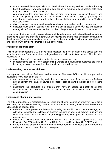- can understand the unique risks associated with online safety and be confident that they have the relevant knowledge and up to date capability required to keep children safe whilst they are online at school or college;
- can recognise the additional risks that children with special educational needs and disabilities (SEND) face online, for example, from online bullying, grooming and radicalisation and are confident they have the capability to support children with SEND to stay safe online;
- obtain access to resources and attend any relevant or refresher training courses; and,
- encourage a culture of listening to children and taking account of their wishes and feelings, among all staff, in any measures the school or college may put in place to protect them.

In addition to the formal training set out above, their knowledge and skills should be refreshed (this might be via e-bulletins, meeting other DSLs, or simply taking time to read and digest safeguarding developments) at regular intervals, as required, and at least annually, to allow them to understand and keep up with any developments relevant to their role.

## **Providing support to staff**

Training should support the DSL in developing expertise, so they can support and advise staff and help them feel confident on welfare, safeguarding and child protection matters. This includes specifically to:

- ensure that staff are supported during the referrals processes; and
- support staff to consider how safeguarding, welfare and educational outcomes are linked, including to inform the provision of academic and pastoral support.

#### **Understanding the views of children**

It is important that children feel heard and understood. Therefore, DSLs should be supported in developing knowledge and skills to:

- encourage a culture of listening to children and taking account of their wishes and feelings, among all staff, and in any measures the school or college may put in place to protect them; and
- **E** understand the difficulties that children may have in approaching staff about their circumstances and consider how to build trusted relationships which facilitate communication

#### **Holding and sharing information**

The critical importance of recording, holding, using and sharing information effectively is set out in Parts one, two and five of Keeping Children Safe in Education 2021 guidance, and therefore the DSL should be equipped to:

- understand the importance of information sharing, both within the school and college, and with other schools and colleges on transfer including in-year and between primary and secondary education, and with the safeguarding partners, other agencies, organisations and practitioners;
- understand relevant data protection legislation and regulations, especially the Data Protection Act 2018 and the UK General Data Protection Regulation (UK GDPR); and
- be able to keep detailed, accurate, secure written records of concerns and referrals and understand the purpose of this record-keeping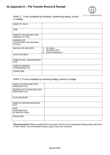# <span id="page-50-0"></span>**42.Appendix D – File Transfer Record & Receipt**



PART 1: To be completed by sending / transferring setting, school or college

| NAME OF CHILD:                                          |                                                                     |
|---------------------------------------------------------|---------------------------------------------------------------------|
| DOB:                                                    |                                                                     |
| NAME OF SCHOOL/SETTING<br><b>SENDING CP FILE:</b>       |                                                                     |
| <b>ADDRESS OF</b><br>SCHOOL/SETTING SENDING<br>CP FILE: |                                                                     |
| <b>METHOD OF DELIVERY:</b>                              | 1 <sub>1</sub><br>BY HAND<br>2. SECURE POST<br>3.<br>ELECTRONICALLY |
| DATE FILE SENT:                                         |                                                                     |
| NAME OF DSL TRANSFERRING<br>FILE:                       |                                                                     |
| NAME OF PERSON<br><b>TRANFERRING TO:</b>                |                                                                     |
| SIGNATURE:                                              |                                                                     |

#### PART 2: To be completed by receiving setting, school or college

| NAME OF SCHOOL/SETTING<br><b>RECEIVING FILE:</b>       |  |
|--------------------------------------------------------|--|
| ADDRESS OF SCHOOL/SETTING<br><b>RECEIVING FILE:</b>    |  |
| DATE RECEIVED:                                         |  |
| NAME OF PERSON RECEIVING<br>FILE:                      |  |
| <b>DATE</b><br><b>CONFIRMATION</b><br>OF RECEIPT SENT: |  |
| SIGNATURE:                                             |  |

R*eceiving School: Please complete Part 2 and return this form to the Designated Safeguarding Lead listed in Part 1 above. You are advised to keep a copy for your own reference.*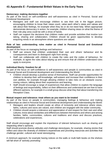# <span id="page-51-0"></span>**43.Appendix E - Fundamental British Values in the Early Years**

#### **Democracy: making decisions together**

As part of the focus on self-confidence and self-awareness as cited in Personal, Social and Emotional Development:

- Managers and staff can encourage children to see their role in the bigger picture, encouraging children to know their views count, value each other's views and values and talk about their feelings, for example when they do or do not need help. When appropriate demonstrate democracy in action, for example, children sharing views on what the theme of their role play area could be with a show of hands.
- Staff can support the decisions that children make and provide activities that involve turn taking, sharing and collaboration. Children should be given opportunities to develop enquiring minds in an atmosphere where questions are valued.

#### **Rule of law: understanding rules matter as cited in Personal Social and Emotional development**

As part of the focus on managing feelings and behaviour:

- **EXT** Staff can ensure that children understand their own and others' behaviour and its consequences and learn to distinguish right from wrong.
- **EXEL Staff can collaborate with children to create the rules and the codes of behaviour, for** example, to agree the rules about tidying up and ensure that all children understand rules apply to everyone.

#### **Individual liberty: freedom for all**

As part of the focus on self-confidence & self-awareness and people & communities as cited in Personal Social and Emotional development and Understanding the World:

- Children should develop a positive sense of themselves. Staff can provide opportunities for children to develop their self-knowledge, self-esteem and increase their confidence in their own abilities, for example through allowing children to take risks on an obstacle course, mixing colours, talking about their experiences and learning.
- Staff should encourage a range of experiences that allow children to explore the language of feelings and responsibility, reflect on their differences and understand we are free to have different opinions, for example in a small group discuss what they feel about transferring into Reception Class.

#### **Mutual respect and tolerance: treat others as you want to be treated**

As part of the focus on people & communities, managing feelings & behaviour and making relationships as cited in Personal Social and Emotional development and Understanding the World:

- Managers and leaders should create an ethos of inclusivity and tolerance where views, faiths, cultures and races are valued, and children are engaged with the wider community.
- Children should acquire a tolerance and appreciation of and respect for their own and other cultures; know about similarities and differences between themselves and others and among families, faiths, communities, cultures and traditions and share and discuss practices, celebrations and experiences.

Staff should encourage and explain the importance of tolerant behaviours such as sharing and respecting other's opinions.

Staff should promote diverse attitudes and challenge stereotypes, for example, sharing stories that reflect and value the diversity of children's experiences and providing resources and activities that challenge gender, cultural and racial stereotyping.

A minimum approach, for example having notices on the walls or multi-faith books on the shelves will fall short of 'actively promoting'.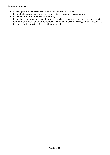It is NOT acceptable to:

- actively promote intolerance of other faiths, cultures and races
- fail to challenge gender stereotypes and routinely segregate girls and boys
- isolate children from their wider community
- fail to challenge behaviours (whether of staff, children or parents) that are not in line with the fundamental British values of democracy, rule of law, individual liberty, mutual respect and tolerance for those with different faiths and beliefs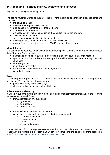# <span id="page-53-0"></span>**44.Appendix F - Serious injuries, accidents and illnesses**

*Applicable to early years settings only*

The setting must tell Ofsted about any of the following in relation to serious injuries, accidents and illnesses:

- the death of a child
- anything that requires resuscitation
- admittance to hospital for more than 24 hours
- a broken bone or fracture
- dislocation of any major joint, such as the shoulder, knee, hip or elbow
- any loss of consciousness
- severe breathing difficulties, including asphyxia
- anything leading to hypothermia or heat-induced illness
- any confirmed cases of coronavirus (COVID-19) in staff or children

#### **Minor injuries**

The setting does not need to tell Ofsted about minor injuries, even if treated at a hospital (for less than 24 hours). These include:

- animal and insect bites, such as a bee sting that doesn't cause an allergic reaction
- **EX sprains, strains and bruising, for example if a child sprains their wrist tripping over their** shoelaces
- cuts and grazes
- minor burns and scalds
- **EXE** dislocation of minor joints, such as a finger or toe
- wound infections

## **Eyes**

The setting must report to Ofsted if a child suffers any loss of sight, whether it is temporary or permanent. You must also tell us about any:

- penetrating injury to the child's eye
- chemical or hot metal burn to the child's eye

#### **Substances and electricity**

If a child in our care suffers any injury from, or requires medical treatment for, any of the following situations we must tell Ofsted:

- from absorption of any substance:
	- $\circ$  by inhalation
	- o by ingestion
	- o through the skin
- from an electric shock or electrical burn
- where there is reason to believe it resulted from exposure to:
	- o a harmful substance
	- o a biological agent
	- o a toxin
	- o an infected material

The setting must fulfil our legal requirements and submit the online report to Ofsted as soon as reasonably practicable, but no later than 14 days by completing the on-line reporting process at <https://www.gov.uk/guidance/report-a-serious-childcare-incident>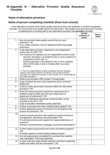# <span id="page-54-0"></span>**45.Appendix G - Alternative Provision Quality Assurance Checklist**



## **Name of alternative provision:**

# **Name of person completing checklist (from host school):**

If the alternative provision hasn't been quality assured by the Local Authority or another recognised provider, the host School must quality assure the placement. This quality assurance document must be completed prior to working with a new alternative provision and **annually** thereafter.

|                |                                                                                                                                                                                                                                                                       | On file/<br>evidence of<br>check | Date &<br><b>Initial</b> |
|----------------|-----------------------------------------------------------------------------------------------------------------------------------------------------------------------------------------------------------------------------------------------------------------------|----------------------------------|--------------------------|
| 1              | Has the provision been quality assured by the Local<br>Authority? Y/N<br>If so, written evidence must be obtained evidencing quality                                                                                                                                  |                                  |                          |
|                | assurance.                                                                                                                                                                                                                                                            |                                  |                          |
| 2              | Is the alternative provision registered as an independent<br>school with the DfE? Y/N                                                                                                                                                                                 |                                  |                          |
|                | The criteria to be registered as an independent school is that;<br>full-time <sup>1</sup> education is provided for five or more students of<br>compulsory school age, or;                                                                                            |                                  |                          |
|                | full-time education is provided for one or more students<br>$\overline{\phantom{a}}$<br>with an EHC plan or who is "looked after" by a local<br>authority                                                                                                             |                                  |                          |
|                | 1 - There is no legal definition of what constitutes 'full-time' education.<br>However, DfE would consider an institution to be providing full-time<br>education if it is intended to provide, or does provide, all, or substantially all,<br>of a child's education. |                                  |                          |
| 3              | What is the provider's DfE number? (If applicable)                                                                                                                                                                                                                    |                                  |                          |
| 4              | Copy of signed Service Level Agreement (SLA) /contract<br>(attached)                                                                                                                                                                                                  |                                  |                          |
| 5              | Is there a clear governance structure within the Alternative<br>provision? Y/N                                                                                                                                                                                        |                                  |                          |
| 6              | Does the referral process include the requirement for a<br>detailed student profile from the host school prior to<br>agreement of placement? Y/N                                                                                                                      |                                  |                          |
| $\overline{7}$ | Student's attendance should be monitored daily. Is this<br>included in the SLA? Y/N<br>Copy of providers Attendance policy attached.                                                                                                                                  |                                  |                          |
| 8              | Is there a procedure for when students fail to attend? Y/N                                                                                                                                                                                                            |                                  |                          |
| 9              | Is there adequate access to resources for all students who<br>access the provision? Y/N                                                                                                                                                                               |                                  |                          |
| 10             | Is there inclusive practice with regards to positive behaviour<br>management, attendance and punctuality? Y/N<br>Pro-actively promote and support the regular attendance of<br>students?<br>Effective reward/incentive strategies to promote participation?           |                                  |                          |
| 11             | Is there regular assessment and review of student progress?<br>Y/N                                                                                                                                                                                                    |                                  |                          |
|                | Provision agrees to share weekly progress reports                                                                                                                                                                                                                     |                                  |                          |
| 12             | Are risk assessments completed for activities that students<br>may undertake? Y/N (copy attached)                                                                                                                                                                     |                                  |                          |
| 13             | Is there a full and clear student induction procedure regarding<br>health and safety and fire evacuation? Y/N                                                                                                                                                         |                                  |                          |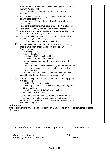| 14                 | Are there robust procedures in place to safeguard children in<br>line with KCSIE? Y/N<br>Copy of providers Safeguarding/Child protection policy<br>attached.                                                                                                                                                                                                                                                                                                                                                                                                                                                                                                                                                                              |  |
|--------------------|-------------------------------------------------------------------------------------------------------------------------------------------------------------------------------------------------------------------------------------------------------------------------------------------------------------------------------------------------------------------------------------------------------------------------------------------------------------------------------------------------------------------------------------------------------------------------------------------------------------------------------------------------------------------------------------------------------------------------------------------|--|
| 15                 | Has evidence of staff receiving accredited child protection<br>training been seen? Y/N<br>Has evidence of DSL receiving training for their role been<br>seen? Y/N<br>Have contact details for DSL been provided? Y/N (attached).                                                                                                                                                                                                                                                                                                                                                                                                                                                                                                          |  |
| 16                 | Copy of public liability insurance document attached.                                                                                                                                                                                                                                                                                                                                                                                                                                                                                                                                                                                                                                                                                     |  |
| 17                 | Is there a policy for when members of staff are working alone<br>with students? Y/N (copy attached)                                                                                                                                                                                                                                                                                                                                                                                                                                                                                                                                                                                                                                       |  |
| 18                 | Does the provider have an ICT policy that includes mobile<br>phones? Y/N (copy attached)                                                                                                                                                                                                                                                                                                                                                                                                                                                                                                                                                                                                                                                  |  |
| 19                 | Copy of health and safety policy attached.                                                                                                                                                                                                                                                                                                                                                                                                                                                                                                                                                                                                                                                                                                |  |
| 20                 | Has written confirmation from the provider that staff vetting<br>checks have been undertaken been received? Y/N<br>Checks include:<br>an identity check;<br>$\overline{\phantom{a}}$<br>a barred list check;<br>$\overline{\phantom{a}}$<br>an enhanced DBS check/certificate;<br>$\overline{\phantom{a}}$<br>a prohibition from teaching check;<br>$\overline{\phantom{a}}$<br>further checks on people who have lived or worked<br>$\overline{\phantom{a}}$<br>outside the UK<br>a check of professional qualifications, where required; and<br>a check to establish the person's right to work in the<br>United Kingdom.<br>Has confirmation of these checks been added to the host<br>school Single Central Record on the agency tab? |  |
| 21                 | Is there a Designated First Aid Officer and suitable equipment<br>available? Y/N<br><b>Qualified First Aiders identified</b><br>Recording system for accidents including informing host<br>school and home<br>Historical or current RIDDOR investigations<br>Evidence of full first aid kit                                                                                                                                                                                                                                                                                                                                                                                                                                               |  |
| 22                 | Has confirmation been received from the provider that a<br>representative will attend or contribute to multi-agency<br>meetings (e.g. Child protection conferences and core group)<br>when necessary? Y/N                                                                                                                                                                                                                                                                                                                                                                                                                                                                                                                                 |  |
| <b>Action Plan</b> |                                                                                                                                                                                                                                                                                                                                                                                                                                                                                                                                                                                                                                                                                                                                           |  |
| information        | If 'no' is answered to any of the questions in Part 2 an action plan must be formulated to obtain                                                                                                                                                                                                                                                                                                                                                                                                                                                                                                                                                                                                                                         |  |
|                    |                                                                                                                                                                                                                                                                                                                                                                                                                                                                                                                                                                                                                                                                                                                                           |  |

| <b>Action Reference Number</b> | Area of Improvement | Intended Action |
|--------------------------------|---------------------|-----------------|
|                                |                     |                 |

| Signed by host school           | Date |
|---------------------------------|------|
| Signed by Alternative Provision | Date |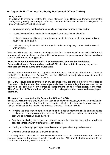# <span id="page-56-0"></span>**46.Appendix H - The Local Authority Designated Officer (LADO)**

#### **Duty to refer**

In addition to informing Ofsted, the Case Manager (e.g., Registered Person, Designated Safeguarding Lead) has a duty to refer any concerns to the LADO where it is alleged that a person who works\* with children has:

- behaved in a way that has harmed a child, or may have harmed a child and/or;
- possibly committed a criminal offence against or related to a child and/or;
- behaved towards a child or children in a way that indicates he or she may pose a risk of harm to children; and/or
- behaved or may have behaved in a way that indicates they may not be suitable to work with children.

Responsibility would also include reporting applications to work or volunteer with children and young people from adults who are barred from doing so as this poses a potential risk of significant harm to children and young people.

#### **The LADO should be informed of ALL allegations that come to the Registered Persons/Designated Safeguarding Lead's (DSL) attention within 1 working day of the manager becoming aware of the allegation.**

In cases where the nature of the allegation has not required immediate referral to the Compass or the Police, the Registered Person/DSL and the LADO will decide jointly as to whether such a referral is necessary and who will make it.

The LADO should also be informed of any allegations that are made directly to the police or Compass. **It is important that even apparently less serious allegations are seen to be followed up objectively by someone independent of the organisation concerned. Therefore, the LADO should be informed of ALL allegations that come to the employers' attention.** 

#### **The role of the Local Authority Designated Officer (LADO)**

The LADO will advise the employer of any action that may be necessary, whether an investigation will take place, and if so, what form the investigation will take. It is their role to provide on-going advice and liaison and to monitor the progress of cases. This may include:

- Advising the employer on next steps, such as the need to inform the child's parents; advice on dismissal or suspension of the member of staff accused; the decision as to whether the case will be investigated and by whom.
- Regularly monitoring the progress of cases to ensure that they are dealt with as quickly as possible consistent with a fair and thorough process.
- Liaising with the employer to provide advice and support when required/requested.
- Oversight and management of individual cases.

If an allegation is substantiated and the employer dismisses the person or ceases to use that person's services, the employer should consult with the LADO about whether a referral to the Disclosure and Barring Service is required.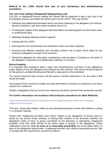## **Referral to the LADO should form part of your disciplinary and whistleblowing procedures.**

## **The role of the setting's Designated Safeguarding Lead**

The DSL or Registered Person making the referral will be expected to play a key role in the investigative process and follow the advice given by the LADO. This may involve:

- Gathering any additional information which may have a bearing on the allegation, for instance: previous concerns, care and control incidents and so on;
- Providing the subject of the allegation with information and advising them to inform their union or professional body;
- Attending Strategy Meetings where required;
- **EXECUTE:** Liaising with the LADO:
- Ensuring that risk assessments are undertaken where and when required:
- Ensuring that effective reporting and recording systems are in place which allow for the tracking of allegations through to the outcome;
- **•** Should the allegation be unfounded, considering a referral either to Compass or the police if the allegation is deemed to be deliberately malicious or invented.

#### **Record keeping**

It is important that employers keep a clear and comprehensive summary of any allegations made, details of how the allegation was followed up and resolved. This record should be placed on the person's confidential personnel file with a copy given to the individual.

The record should be kept at least until the person reaches retirement or for ten years if that would be longer.

The purpose of the record is to enable accurate information to be given in response to any future request for a reference.

Details of allegations that are found to be malicious should be removed from personnel records.

#### **For further information see localised child protection procedures for West Midlands:**

[https://westmidlands.procedures.org.uk/local-content/ygjN/localised-content-lado-managing](https://westmidlands.procedures.org.uk/local-content/ygjN/localised-content-lado-managing-allegations/?b=Shropshire)[allegations/?b=Shropshire](https://westmidlands.procedures.org.uk/local-content/ygjN/localised-content-lado-managing-allegations/?b=Shropshire)

\*The term 'works with children' refers to any individual employed to work with children or acting in a voluntary capacity.

Please note: Registered providers must inform Ofsted of any allegations of serious harm or abuse by any person living, working, or looking after children at the premises (whether the allegations relate to harm or abuse committed on the premises or elsewhere). Registered providers must also notify Ofsted of the action taken in respect of the allegations. These notifications must be made **as soon as is reasonably practicable,** but at the latest within 14 days of the allegations being made. A registered provider who, without reasonable excuse, fails to comply with this requirement, commits an offence.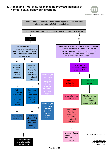# <span id="page-58-0"></span>**47.Appendix I - Workflow for managing reported incidents of Harmful Sexual Behaviour in schools**



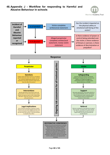# <span id="page-59-0"></span>**48.Appendix J - Workflow for responding to Harmful and Abusive Behaviour in schools**



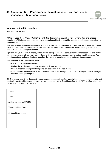## <span id="page-60-0"></span>**49.Appendix K - Peer-on-peer sexual abuse: risk and needs assessment & version record**



#### **Notes on using this template:**

*Adapted from The Key*

(1) We've used "Child A" and "Child B" to signify the children involved, rather than saying "victim" and "alleged perpetrator". This is because you should avoid assigning guilt until a formal investigation has been conducted by the appropriate authorities.

(2) Consider each question/consideration from the perspective of both pupils, and be sure to do this in collaboration with them. Also consider the impact on, and needs of, the wider school community, and record any concerns or actions in the most appropriate column.

(3) Work with your local multi-agency safeguarding team (MAST) when conducting this risk assessment, and update it in response to any advice they provide. Some of the prompts may require input from other MAST agencies. Add specific questions and considerations based on the nature of each incident and on the advice provided.

(4) Keep track of the changes you make:

- Create a new copy of the document
- Update the version number at the top of the risk assessment
- Record what has changed in the update log (at the end of the document)
- Save the most recent version of the risk assessment in the appropriate places (for example, CPOMS [scan] or the child's safeguarding file)

(5) This should be a living document – you may need to update it as often as daily based on conversations with, and feedback from, the children and parents involved, feedback from staff, guidance from the MAST, or information from the police and children's social care.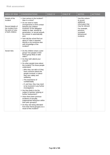| <b>AREA OF RISK</b>                                                                                           | <b>CONSIDERATIONS</b>                                                                                                                                                                                                                                                                                                                                                                                                                                                                                                                                                                                                                                                                                                                                                                                      | CHILD 'A' | CHILD 'B' | <b>NOTES</b>                                                                                                                                            | <b>ACTIONS</b> |
|---------------------------------------------------------------------------------------------------------------|------------------------------------------------------------------------------------------------------------------------------------------------------------------------------------------------------------------------------------------------------------------------------------------------------------------------------------------------------------------------------------------------------------------------------------------------------------------------------------------------------------------------------------------------------------------------------------------------------------------------------------------------------------------------------------------------------------------------------------------------------------------------------------------------------------|-----------|-----------|---------------------------------------------------------------------------------------------------------------------------------------------------------|----------------|
| Details of the<br>incident<br>Record details of<br>the incident from<br>the point of view<br>of both children | ■ How serious is the incident?<br>Was it a crime?<br>• Do we need to make<br>arrangements to limit contact<br>between the children<br>involved? (If the allegation<br>relates to rape, assault by<br>penetration, or sexual assault,<br>the answer is automatically<br>yes)<br>• How did the school find out<br>about it? Was it reported<br>directly or by someone else<br>with knowledge of the<br>incident?                                                                                                                                                                                                                                                                                                                                                                                             |           |           | Use this column<br>to record<br>additional<br>information that<br>may be relevant<br>For example,<br>previous,<br>unrelated<br>behavioural<br>incidents |                |
| Social risks                                                                                                  | • Do the children share a peer<br>group? Are people in their<br>friend group likely to take<br>sides?<br>• Do they both attend your<br>school?<br>• Do other people know about<br>the incident? Do those people<br>understand:<br>o Who they can talk to if they<br>have concerns about the<br>people involved, or about<br>their own safety and<br>wellbeing<br>o The importance of<br>confidentiality<br>$\circ$ If, and how, they may need<br>to be involved in any further<br>investigations<br>■ Are they likely to be the<br>subject of gossip, bullying or<br>further harassment?<br>■ Have there been previous<br>incidents of sexually<br>inappropriate behaviour within<br>their peer group(s)?<br>• Do they risk being alienated<br>from their friend group(s) as a<br>result of this incident? |           |           |                                                                                                                                                         |                |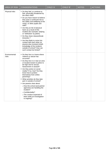| <b>AREA OF RISK</b>    | <b>CONSIDERATIONS</b>                                                                                                                                                                                                                                                                                                                                                                                                                                                                                                                                                                                    | CHILD 'A' | CHILD 'B' | <b>NOTES</b> | <b>ACTIONS</b> |
|------------------------|----------------------------------------------------------------------------------------------------------------------------------------------------------------------------------------------------------------------------------------------------------------------------------------------------------------------------------------------------------------------------------------------------------------------------------------------------------------------------------------------------------------------------------------------------------------------------------------------------------|-----------|-----------|--------------|----------------|
| Physical risks         | • Do they feel, or continue to<br>feel, physically threatened by<br>the other child?<br>• Do you have reason to believe<br>they pose a continued risk to<br>the safety and wellbeing of the<br>victim, or other pupils and<br>staff?<br>Are they at risk of physical<br>harm as a result of this<br>incident (for example, bullying<br>or 'retribution' by peers)<br>• Do they share classes/break<br>times/etc.?<br>Are they likely to come into<br>contact with each other (or<br>anyone else involved in/with<br>knowledge of the incident)<br>outside of school? How can<br>such contact be limited? |           |           |              |                |
| Environmental<br>risks | • Do they live in a home where<br>violence or abuse has<br>occurred?<br>• Do they live in or near an area<br>or location known to police to<br>be high risk for sexual<br>harassment or assault?<br>Are they active on social<br>media? If so, how? Do they<br>know how to protect<br>themselves from online<br>grooming?<br>• What activities do they take<br>part in outside of school?<br>Are parents clear about:<br>o How the school (and partner<br>agencies) are handling the<br>incident?<br>○ Confidentiality?<br>o The conduct expected of<br>them while an investigation<br>is ongoing?       |           |           |              |                |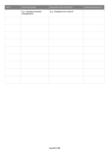| <b>DATE</b> | <b>UPDATES MADE</b>                      | REASONS FOR UPDATES          | UPDATES MADE BY |
|-------------|------------------------------------------|------------------------------|-----------------|
|             | E.g, "Updated lunchtime<br>arrangements" | E.g, "Feedback from Child A" |                 |
|             |                                          |                              |                 |
|             |                                          |                              |                 |
|             |                                          |                              |                 |
|             |                                          |                              |                 |
|             |                                          |                              |                 |
|             |                                          |                              |                 |
|             |                                          |                              |                 |
|             |                                          |                              |                 |
|             |                                          |                              |                 |